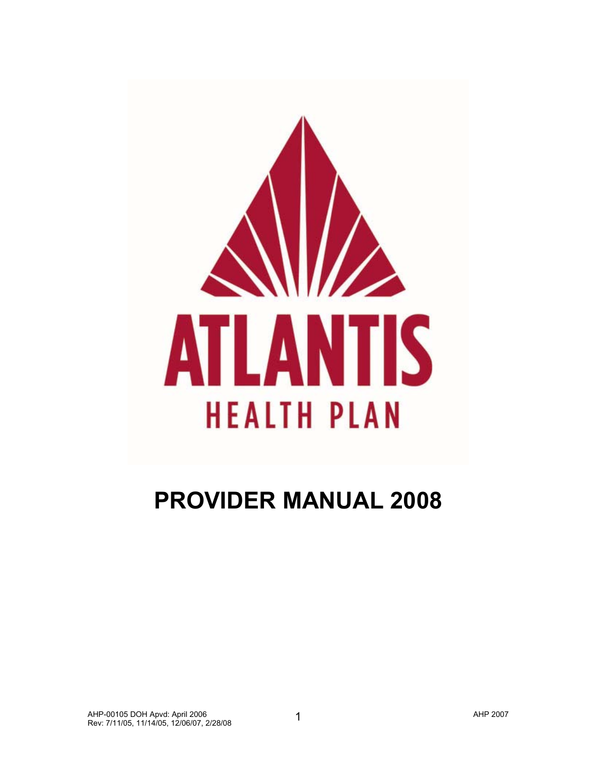

# **PROVIDER MANUAL 2008**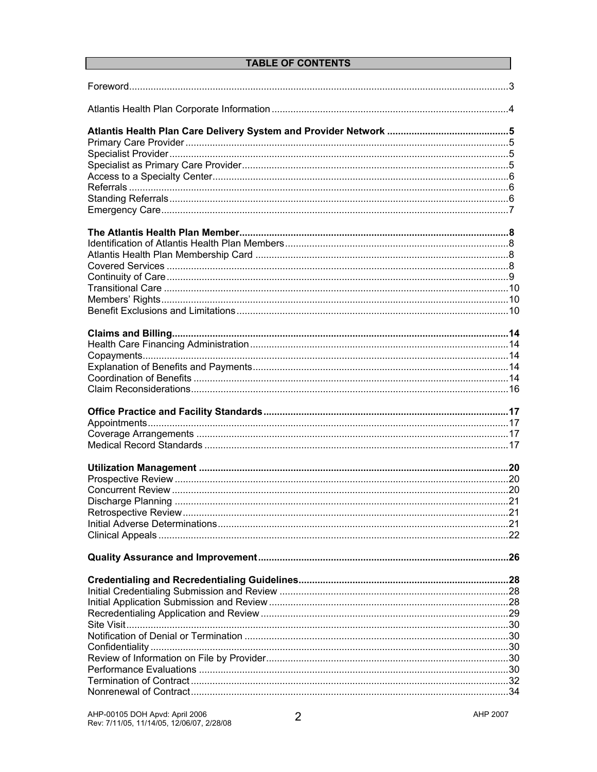# **TABLE OF CONTENTS**

| 21 |  |
|----|--|
|    |  |
|    |  |
|    |  |
|    |  |
|    |  |
|    |  |
|    |  |
|    |  |
|    |  |
|    |  |
|    |  |
|    |  |
|    |  |
|    |  |
|    |  |
|    |  |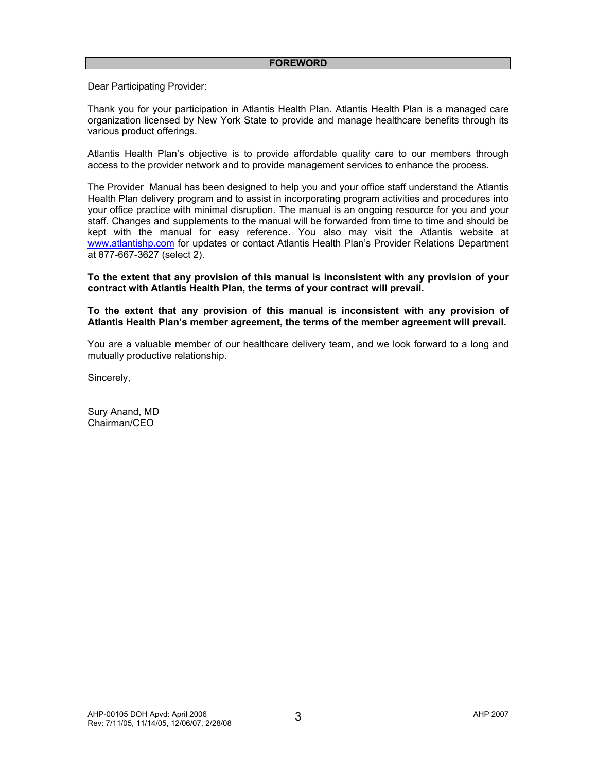Dear Participating Provider:

Thank you for your participation in Atlantis Health Plan. Atlantis Health Plan is a managed care organization licensed by New York State to provide and manage healthcare benefits through its various product offerings.

Atlantis Health Plan's objective is to provide affordable quality care to our members through access to the provider network and to provide management services to enhance the process.

The Provider Manual has been designed to help you and your office staff understand the Atlantis Health Plan delivery program and to assist in incorporating program activities and procedures into your office practice with minimal disruption. The manual is an ongoing resource for you and your staff. Changes and supplements to the manual will be forwarded from time to time and should be kept with the manual for easy reference. You also may visit the Atlantis website at www.atlantishp.com for updates or contact Atlantis Health Plan's Provider Relations Department at 877-667-3627 (select 2).

**To the extent that any provision of this manual is inconsistent with any provision of your contract with Atlantis Health Plan, the terms of your contract will prevail.** 

**To the extent that any provision of this manual is inconsistent with any provision of Atlantis Health Plan's member agreement, the terms of the member agreement will prevail.** 

You are a valuable member of our healthcare delivery team, and we look forward to a long and mutually productive relationship.

Sincerely,

Sury Anand, MD Chairman/CEO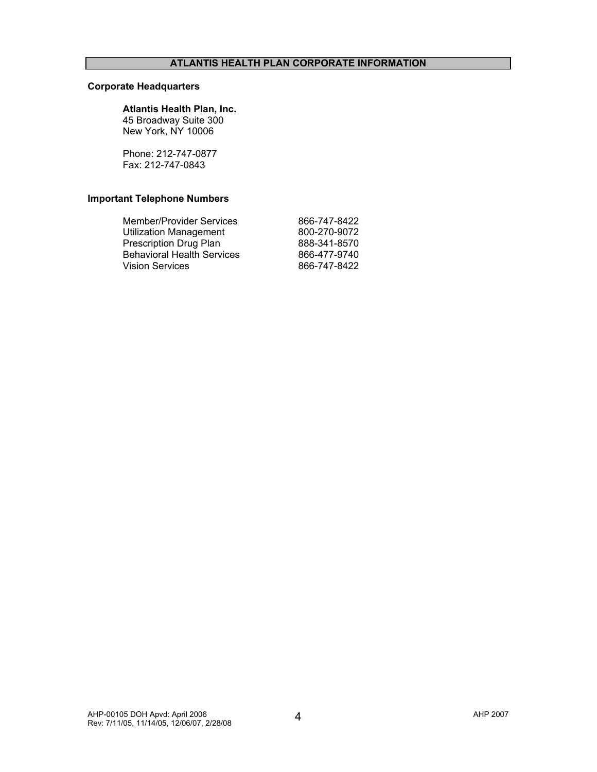# **Corporate Headquarters**

#### **Atlantis Health Plan, Inc.**

45 Broadway Suite 300 New York, NY 10006

Phone: 212-747-0877 Fax: 212-747-0843

# **Important Telephone Numbers**

| <b>Member/Provider Services</b>   | 866-747-8422 |
|-----------------------------------|--------------|
| <b>Utilization Management</b>     | 800-270-9072 |
| Prescription Drug Plan            | 888-341-8570 |
| <b>Behavioral Health Services</b> | 866-477-9740 |
| <b>Vision Services</b>            | 866-747-8422 |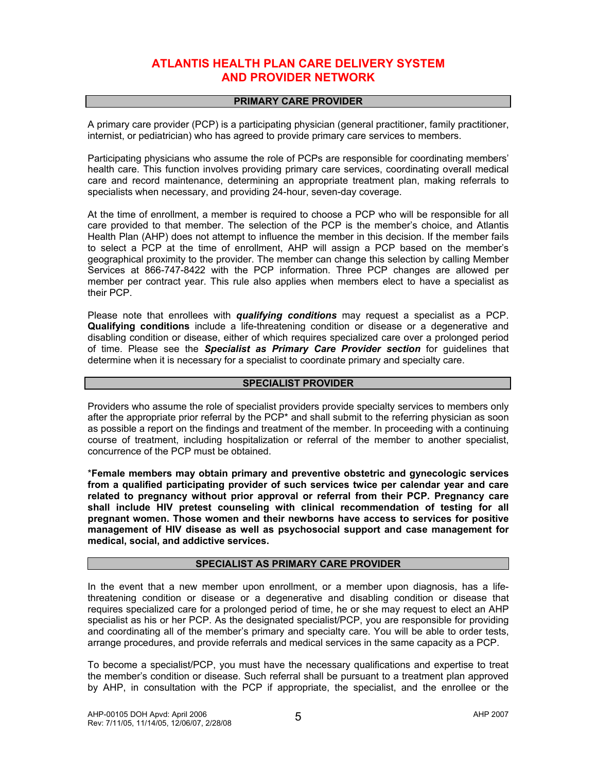# **ATLANTIS HEALTH PLAN CARE DELIVERY SYSTEM AND PROVIDER NETWORK**

### **PRIMARY CARE PROVIDER**

A primary care provider (PCP) is a participating physician (general practitioner, family practitioner, internist, or pediatrician) who has agreed to provide primary care services to members.

Participating physicians who assume the role of PCPs are responsible for coordinating members' health care. This function involves providing primary care services, coordinating overall medical care and record maintenance, determining an appropriate treatment plan, making referrals to specialists when necessary, and providing 24-hour, seven-day coverage.

At the time of enrollment, a member is required to choose a PCP who will be responsible for all care provided to that member. The selection of the PCP is the member's choice, and Atlantis Health Plan (AHP) does not attempt to influence the member in this decision. If the member fails to select a PCP at the time of enrollment, AHP will assign a PCP based on the member's geographical proximity to the provider. The member can change this selection by calling Member Services at 866-747-8422 with the PCP information. Three PCP changes are allowed per member per contract year. This rule also applies when members elect to have a specialist as their PCP.

Please note that enrollees with *qualifying conditions* may request a specialist as a PCP. **Qualifying conditions** include a life-threatening condition or disease or a degenerative and disabling condition or disease, either of which requires specialized care over a prolonged period of time. Please see the *Specialist as Primary Care Provider section* for guidelines that determine when it is necessary for a specialist to coordinate primary and specialty care.

# **SPECIALIST PROVIDER**

Providers who assume the role of specialist providers provide specialty services to members only after the appropriate prior referral by the PCP\* and shall submit to the referring physician as soon as possible a report on the findings and treatment of the member. In proceeding with a continuing course of treatment, including hospitalization or referral of the member to another specialist, concurrence of the PCP must be obtained.

\***Female members may obtain primary and preventive obstetric and gynecologic services from a qualified participating provider of such services twice per calendar year and care related to pregnancy without prior approval or referral from their PCP. Pregnancy care shall include HIV pretest counseling with clinical recommendation of testing for all pregnant women. Those women and their newborns have access to services for positive management of HIV disease as well as psychosocial support and case management for medical, social, and addictive services.**

#### **SPECIALIST AS PRIMARY CARE PROVIDER**

In the event that a new member upon enrollment, or a member upon diagnosis, has a lifethreatening condition or disease or a degenerative and disabling condition or disease that requires specialized care for a prolonged period of time, he or she may request to elect an AHP specialist as his or her PCP. As the designated specialist/PCP, you are responsible for providing and coordinating all of the member's primary and specialty care. You will be able to order tests, arrange procedures, and provide referrals and medical services in the same capacity as a PCP.

To become a specialist/PCP, you must have the necessary qualifications and expertise to treat the member's condition or disease. Such referral shall be pursuant to a treatment plan approved by AHP, in consultation with the PCP if appropriate, the specialist, and the enrollee or the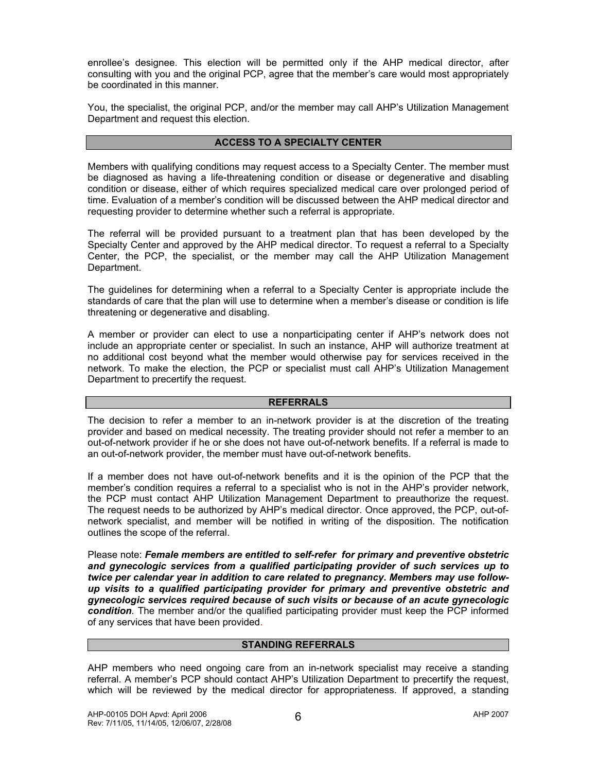enrollee's designee. This election will be permitted only if the AHP medical director, after consulting with you and the original PCP, agree that the member's care would most appropriately be coordinated in this manner.

You, the specialist, the original PCP, and/or the member may call AHP's Utilization Management Department and request this election.

# **ACCESS TO A SPECIALTY CENTER**

Members with qualifying conditions may request access to a Specialty Center. The member must be diagnosed as having a life-threatening condition or disease or degenerative and disabling condition or disease, either of which requires specialized medical care over prolonged period of time. Evaluation of a member's condition will be discussed between the AHP medical director and requesting provider to determine whether such a referral is appropriate.

The referral will be provided pursuant to a treatment plan that has been developed by the Specialty Center and approved by the AHP medical director. To request a referral to a Specialty Center, the PCP, the specialist, or the member may call the AHP Utilization Management Department.

The guidelines for determining when a referral to a Specialty Center is appropriate include the standards of care that the plan will use to determine when a member's disease or condition is life threatening or degenerative and disabling.

A member or provider can elect to use a nonparticipating center if AHP's network does not include an appropriate center or specialist. In such an instance, AHP will authorize treatment at no additional cost beyond what the member would otherwise pay for services received in the network. To make the election, the PCP or specialist must call AHP's Utilization Management Department to precertify the request.

#### **REFERRALS**

The decision to refer a member to an in-network provider is at the discretion of the treating provider and based on medical necessity. The treating provider should not refer a member to an out-of-network provider if he or she does not have out-of-network benefits. If a referral is made to an out-of-network provider, the member must have out-of-network benefits.

If a member does not have out-of-network benefits and it is the opinion of the PCP that the member's condition requires a referral to a specialist who is not in the AHP's provider network, the PCP must contact AHP Utilization Management Department to preauthorize the request. The request needs to be authorized by AHP's medical director. Once approved, the PCP, out-ofnetwork specialist, and member will be notified in writing of the disposition. The notification outlines the scope of the referral.

Please note: *Female members are entitled to self-refer for primary and preventive obstetric and gynecologic services from a qualified participating provider of such services up to twice per calendar year in addition to care related to pregnancy***.** *Members may use followup visits to a qualified participating provider for primary and preventive obstetric and gynecologic services required because of such visits or because of an acute gynecologic condition.* The member and/or the qualified participating provider must keep the PCP informed of any services that have been provided.

#### **STANDING REFERRALS**

AHP members who need ongoing care from an in-network specialist may receive a standing referral. A member's PCP should contact AHP's Utilization Department to precertify the request, which will be reviewed by the medical director for appropriateness. If approved, a standing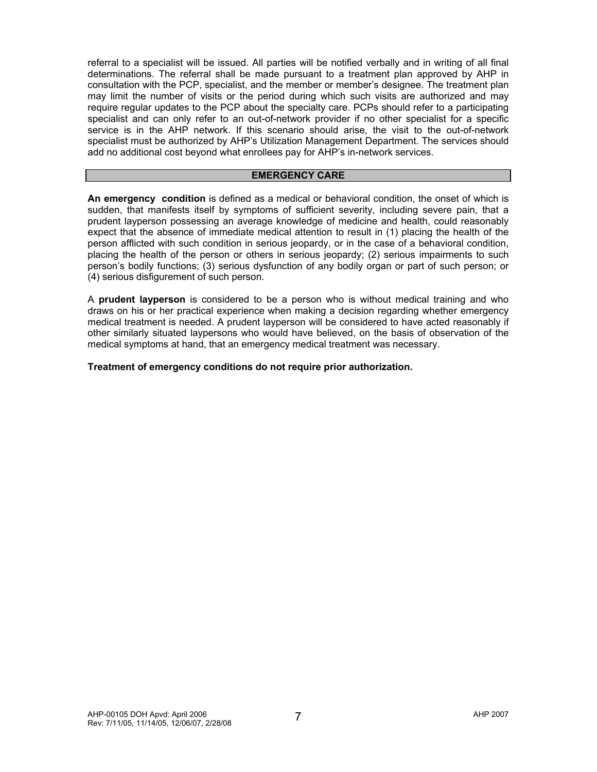referral to a specialist will be issued. All parties will be notified verbally and in writing of all final determinations. The referral shall be made pursuant to a treatment plan approved by AHP in consultation with the PCP, specialist, and the member or member's designee. The treatment plan may limit the number of visits or the period during which such visits are authorized and may require regular updates to the PCP about the specialty care. PCPs should refer to a participating specialist and can only refer to an out-of-network provider if no other specialist for a specific service is in the AHP network. If this scenario should arise, the visit to the out-of-network specialist must be authorized by AHP's Utilization Management Department. The services should add no additional cost beyond what enrollees pay for AHP's in-network services.

#### **EMERGENCY CARE**

**An emergency condition** is defined as a medical or behavioral condition, the onset of which is sudden, that manifests itself by symptoms of sufficient severity, including severe pain, that a prudent layperson possessing an average knowledge of medicine and health, could reasonably expect that the absence of immediate medical attention to result in (1) placing the health of the person afflicted with such condition in serious jeopardy, or in the case of a behavioral condition, placing the health of the person or others in serious jeopardy; (2) serious impairments to such person's bodily functions; (3) serious dysfunction of any bodily organ or part of such person; or (4) serious disfigurement of such person.

A **prudent layperson** is considered to be a person who is without medical training and who draws on his or her practical experience when making a decision regarding whether emergency medical treatment is needed. A prudent layperson will be considered to have acted reasonably if other similarly situated laypersons who would have believed, on the basis of observation of the medical symptoms at hand, that an emergency medical treatment was necessary.

**Treatment of emergency conditions do not require prior authorization.**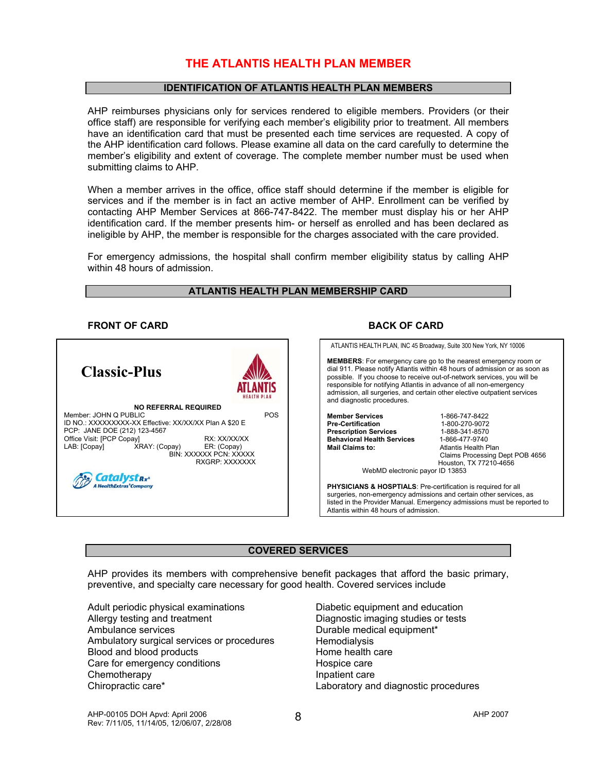# **THE ATLANTIS HEALTH PLAN MEMBER**

#### **IDENTIFICATION OF ATLANTIS HEALTH PLAN MEMBERS**

AHP reimburses physicians only for services rendered to eligible members. Providers (or their office staff) are responsible for verifying each member's eligibility prior to treatment. All members have an identification card that must be presented each time services are requested. A copy of the AHP identification card follows. Please examine all data on the card carefully to determine the member's eligibility and extent of coverage. The complete member number must be used when submitting claims to AHP.

When a member arrives in the office, office staff should determine if the member is eligible for services and if the member is in fact an active member of AHP. Enrollment can be verified by contacting AHP Member Services at 866-747-8422. The member must display his or her AHP identification card. If the member presents him- or herself as enrolled and has been declared as ineligible by AHP, the member is responsible for the charges associated with the care provided.

For emergency admissions, the hospital shall confirm member eligibility status by calling AHP within 48 hours of admission.

#### **ATLANTIS HEALTH PLAN MEMBERSHIP CARD**

#### **FRONT OF CARD BACK OF CARD**



#### **COVERED SERVICES**

AHP provides its members with comprehensive benefit packages that afford the basic primary, preventive, and specialty care necessary for good health. Covered services include

Adult periodic physical examinations Allergy testing and treatment Ambulance services Ambulatory surgical services or procedures Blood and blood products Care for emergency conditions **Chemotherapy** Chiropractic care\*

Diabetic equipment and education Diagnostic imaging studies or tests Durable medical equipment\* **Hemodialysis** Home health care Hospice care Inpatient care Laboratory and diagnostic procedures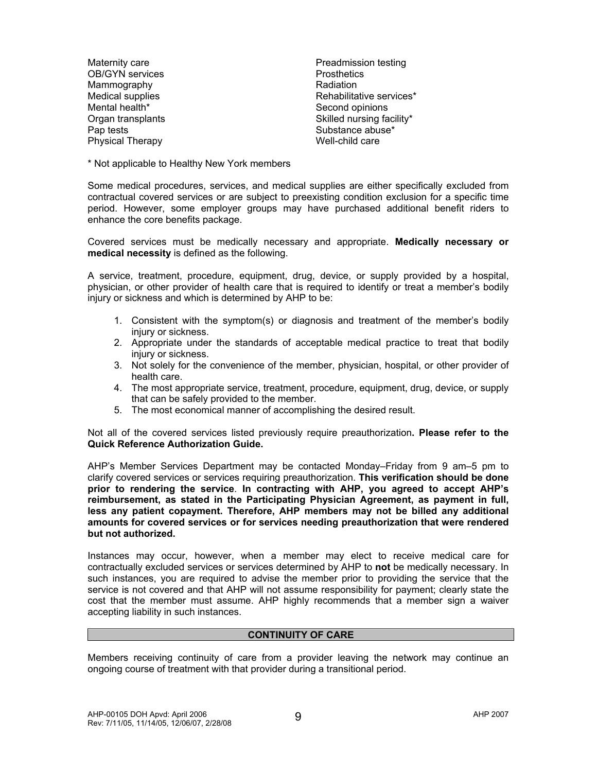Maternity care OB/GYN services Mammography Medical supplies Mental health\* Organ transplants Pap tests Physical Therapy

Preadmission testing **Prosthetics** Radiation Rehabilitative services\* Second opinions Skilled nursing facility\* Substance abuse\* Well-child care

\* Not applicable to Healthy New York members

Some medical procedures, services, and medical supplies are either specifically excluded from contractual covered services or are subject to preexisting condition exclusion for a specific time period. However, some employer groups may have purchased additional benefit riders to enhance the core benefits package.

Covered services must be medically necessary and appropriate. **Medically necessary or medical necessity** is defined as the following.

A service, treatment, procedure, equipment, drug, device, or supply provided by a hospital, physician, or other provider of health care that is required to identify or treat a member's bodily injury or sickness and which is determined by AHP to be:

- 1. Consistent with the symptom(s) or diagnosis and treatment of the member's bodily injury or sickness.
- 2. Appropriate under the standards of acceptable medical practice to treat that bodily injury or sickness.
- 3. Not solely for the convenience of the member, physician, hospital, or other provider of health care.
- 4. The most appropriate service, treatment, procedure, equipment, drug, device, or supply that can be safely provided to the member.
- 5. The most economical manner of accomplishing the desired result.

Not all of the covered services listed previously require preauthorization**. Please refer to the Quick Reference Authorization Guide.** 

AHP's Member Services Department may be contacted Monday–Friday from 9 am–5 pm to clarify covered services or services requiring preauthorization. **This verification should be done prior to rendering the service**. **In contracting with AHP, you agreed to accept AHP's reimbursement, as stated in the Participating Physician Agreement, as payment in full, less any patient copayment. Therefore, AHP members may not be billed any additional amounts for covered services or for services needing preauthorization that were rendered but not authorized.** 

Instances may occur, however, when a member may elect to receive medical care for contractually excluded services or services determined by AHP to **not** be medically necessary. In such instances, you are required to advise the member prior to providing the service that the service is not covered and that AHP will not assume responsibility for payment; clearly state the cost that the member must assume. AHP highly recommends that a member sign a waiver accepting liability in such instances.

#### **CONTINUITY OF CARE**

Members receiving continuity of care from a provider leaving the network may continue an ongoing course of treatment with that provider during a transitional period.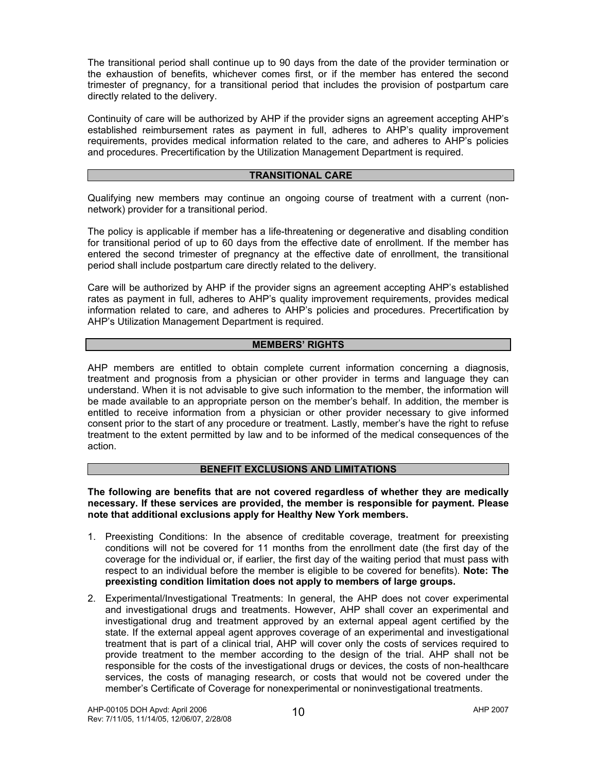The transitional period shall continue up to 90 days from the date of the provider termination or the exhaustion of benefits, whichever comes first, or if the member has entered the second trimester of pregnancy, for a transitional period that includes the provision of postpartum care directly related to the delivery.

Continuity of care will be authorized by AHP if the provider signs an agreement accepting AHP's established reimbursement rates as payment in full, adheres to AHP's quality improvement requirements, provides medical information related to the care, and adheres to AHP's policies and procedures. Precertification by the Utilization Management Department is required.

## **TRANSITIONAL CARE**

Qualifying new members may continue an ongoing course of treatment with a current (nonnetwork) provider for a transitional period.

The policy is applicable if member has a life-threatening or degenerative and disabling condition for transitional period of up to 60 days from the effective date of enrollment. If the member has entered the second trimester of pregnancy at the effective date of enrollment, the transitional period shall include postpartum care directly related to the delivery.

Care will be authorized by AHP if the provider signs an agreement accepting AHP's established rates as payment in full, adheres to AHP's quality improvement requirements, provides medical information related to care, and adheres to AHP's policies and procedures. Precertification by AHP's Utilization Management Department is required.

# **MEMBERS' RIGHTS**

AHP members are entitled to obtain complete current information concerning a diagnosis, treatment and prognosis from a physician or other provider in terms and language they can understand. When it is not advisable to give such information to the member, the information will be made available to an appropriate person on the member's behalf. In addition, the member is entitled to receive information from a physician or other provider necessary to give informed consent prior to the start of any procedure or treatment. Lastly, member's have the right to refuse treatment to the extent permitted by law and to be informed of the medical consequences of the action.

# **BENEFIT EXCLUSIONS AND LIMITATIONS**

**The following are benefits that are not covered regardless of whether they are medically necessary. If these services are provided, the member is responsible for payment. Please note that additional exclusions apply for Healthy New York members.** 

- 1. Preexisting Conditions: In the absence of creditable coverage, treatment for preexisting conditions will not be covered for 11 months from the enrollment date (the first day of the coverage for the individual or, if earlier, the first day of the waiting period that must pass with respect to an individual before the member is eligible to be covered for benefits). **Note: The preexisting condition limitation does not apply to members of large groups.**
- 2. Experimental/Investigational Treatments: In general, the AHP does not cover experimental and investigational drugs and treatments. However, AHP shall cover an experimental and investigational drug and treatment approved by an external appeal agent certified by the state. If the external appeal agent approves coverage of an experimental and investigational treatment that is part of a clinical trial, AHP will cover only the costs of services required to provide treatment to the member according to the design of the trial. AHP shall not be responsible for the costs of the investigational drugs or devices, the costs of non-healthcare services, the costs of managing research, or costs that would not be covered under the member's Certificate of Coverage for nonexperimental or noninvestigational treatments.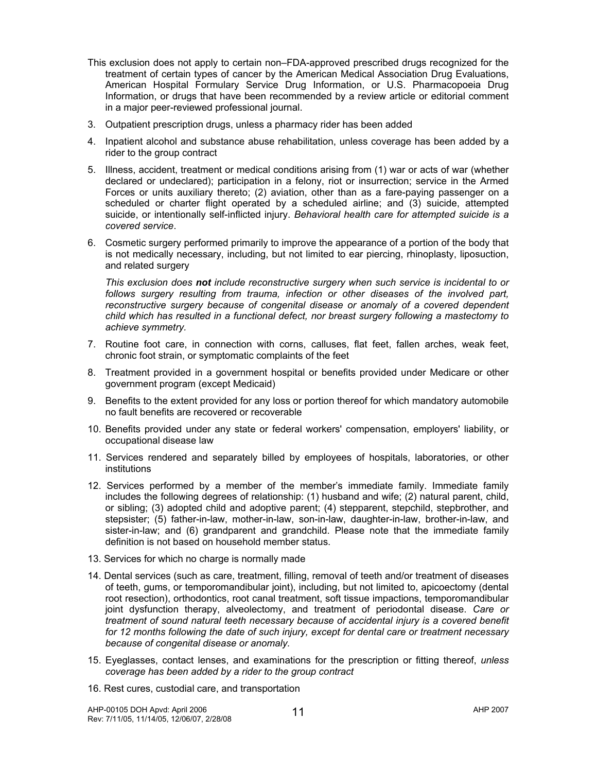- This exclusion does not apply to certain non–FDA-approved prescribed drugs recognized for the treatment of certain types of cancer by the American Medical Association Drug Evaluations, American Hospital Formulary Service Drug Information, or U.S. Pharmacopoeia Drug Information, or drugs that have been recommended by a review article or editorial comment in a major peer-reviewed professional journal.
- 3. Outpatient prescription drugs, unless a pharmacy rider has been added
- 4. Inpatient alcohol and substance abuse rehabilitation, unless coverage has been added by a rider to the group contract
- 5. Illness, accident, treatment or medical conditions arising from (1) war or acts of war (whether declared or undeclared); participation in a felony, riot or insurrection; service in the Armed Forces or units auxiliary thereto; (2) aviation, other than as a fare-paying passenger on a scheduled or charter flight operated by a scheduled airline; and (3) suicide, attempted suicide, or intentionally self-inflicted injury. *Behavioral health care for attempted suicide is a covered service*.
- 6. Cosmetic surgery performed primarily to improve the appearance of a portion of the body that is not medically necessary, including, but not limited to ear piercing, rhinoplasty, liposuction, and related surgery

 *This exclusion does not include reconstructive surgery when such service is incidental to or follows surgery resulting from trauma, infection or other diseases of the involved part, reconstructive surgery because of congenital disease or anomaly of a covered dependent child which has resulted in a functional defect, nor breast surgery following a mastectomy to achieve symmetry.* 

- 7. Routine foot care, in connection with corns, calluses, flat feet, fallen arches, weak feet, chronic foot strain, or symptomatic complaints of the feet
- 8. Treatment provided in a government hospital or benefits provided under Medicare or other government program (except Medicaid)
- 9. Benefits to the extent provided for any loss or portion thereof for which mandatory automobile no fault benefits are recovered or recoverable
- 10. Benefits provided under any state or federal workers' compensation, employers' liability, or occupational disease law
- 11. Services rendered and separately billed by employees of hospitals, laboratories, or other institutions
- 12. Services performed by a member of the member's immediate family. Immediate family includes the following degrees of relationship: (1) husband and wife; (2) natural parent, child, or sibling; (3) adopted child and adoptive parent; (4) stepparent, stepchild, stepbrother, and stepsister; (5) father-in-law, mother-in-law, son-in-law, daughter-in-law, brother-in-law, and sister-in-law; and (6) grandparent and grandchild. Please note that the immediate family definition is not based on household member status.
- 13. Services for which no charge is normally made
- 14. Dental services (such as care, treatment, filling, removal of teeth and/or treatment of diseases of teeth, gums, or temporomandibular joint), including, but not limited to, apicoectomy (dental root resection), orthodontics, root canal treatment, soft tissue impactions, temporomandibular joint dysfunction therapy, alveolectomy, and treatment of periodontal disease. *Care or treatment of sound natural teeth necessary because of accidental injury is a covered benefit for 12 months following the date of such injury, except for dental care or treatment necessary because of congenital disease or anomaly.*
- 15. Eyeglasses, contact lenses, and examinations for the prescription or fitting thereof, *unless coverage has been added by a rider to the group contract*
- 16. Rest cures, custodial care, and transportation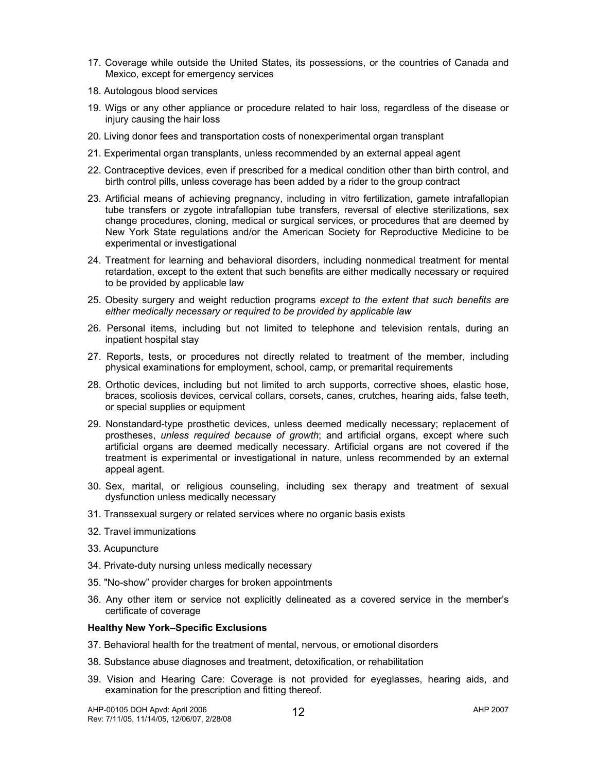- 17. Coverage while outside the United States, its possessions, or the countries of Canada and Mexico, except for emergency services
- 18. Autologous blood services
- 19. Wigs or any other appliance or procedure related to hair loss, regardless of the disease or injury causing the hair loss
- 20. Living donor fees and transportation costs of nonexperimental organ transplant
- 21. Experimental organ transplants, unless recommended by an external appeal agent
- 22. Contraceptive devices, even if prescribed for a medical condition other than birth control, and birth control pills, unless coverage has been added by a rider to the group contract
- 23. Artificial means of achieving pregnancy, including in vitro fertilization, gamete intrafallopian tube transfers or zygote intrafallopian tube transfers, reversal of elective sterilizations, sex change procedures, cloning, medical or surgical services, or procedures that are deemed by New York State regulations and/or the American Society for Reproductive Medicine to be experimental or investigational
- 24. Treatment for learning and behavioral disorders, including nonmedical treatment for mental retardation, except to the extent that such benefits are either medically necessary or required to be provided by applicable law
- 25. Obesity surgery and weight reduction programs *except to the extent that such benefits are either medically necessary or required to be provided by applicable law*
- 26. Personal items, including but not limited to telephone and television rentals, during an inpatient hospital stay
- 27. Reports, tests, or procedures not directly related to treatment of the member, including physical examinations for employment, school, camp, or premarital requirements
- 28. Orthotic devices, including but not limited to arch supports, corrective shoes, elastic hose, braces, scoliosis devices, cervical collars, corsets, canes, crutches, hearing aids, false teeth, or special supplies or equipment
- 29. Nonstandard-type prosthetic devices, unless deemed medically necessary; replacement of prostheses, *unless required because of growth*; and artificial organs, except where such artificial organs are deemed medically necessary. Artificial organs are not covered if the treatment is experimental or investigational in nature, unless recommended by an external appeal agent.
- 30. Sex, marital, or religious counseling, including sex therapy and treatment of sexual dysfunction unless medically necessary
- 31. Transsexual surgery or related services where no organic basis exists
- 32. Travel immunizations
- 33. Acupuncture
- 34. Private-duty nursing unless medically necessary
- 35. "No-show" provider charges for broken appointments
- 36. Any other item or service not explicitly delineated as a covered service in the member's certificate of coverage

#### **Healthy New York–Specific Exclusions**

- 37. Behavioral health for the treatment of mental, nervous, or emotional disorders
- 38. Substance abuse diagnoses and treatment, detoxification, or rehabilitation
- 39. Vision and Hearing Care: Coverage is not provided for eyeglasses, hearing aids, and examination for the prescription and fitting thereof.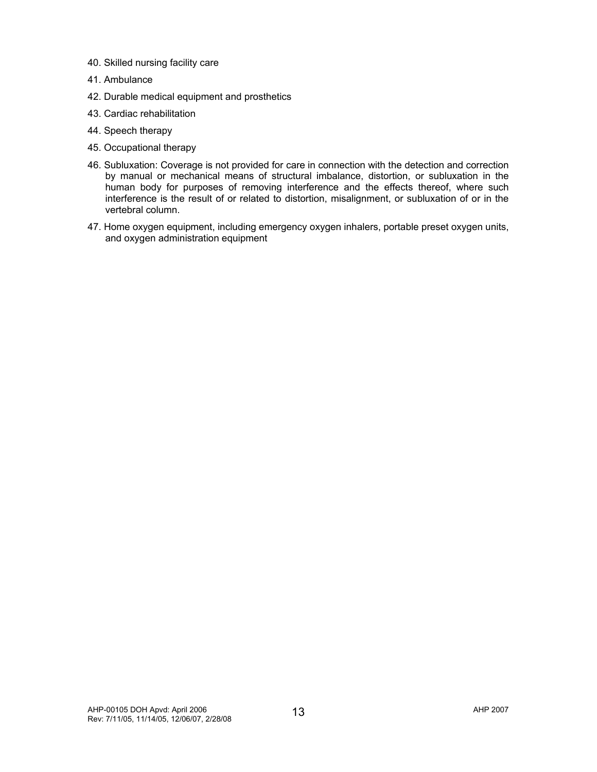- 40. Skilled nursing facility care
- 41. Ambulance
- 42. Durable medical equipment and prosthetics
- 43. Cardiac rehabilitation
- 44. Speech therapy
- 45. Occupational therapy
- 46. Subluxation: Coverage is not provided for care in connection with the detection and correction by manual or mechanical means of structural imbalance, distortion, or subluxation in the human body for purposes of removing interference and the effects thereof, where such interference is the result of or related to distortion, misalignment, or subluxation of or in the vertebral column.
- 47. Home oxygen equipment, including emergency oxygen inhalers, portable preset oxygen units, and oxygen administration equipment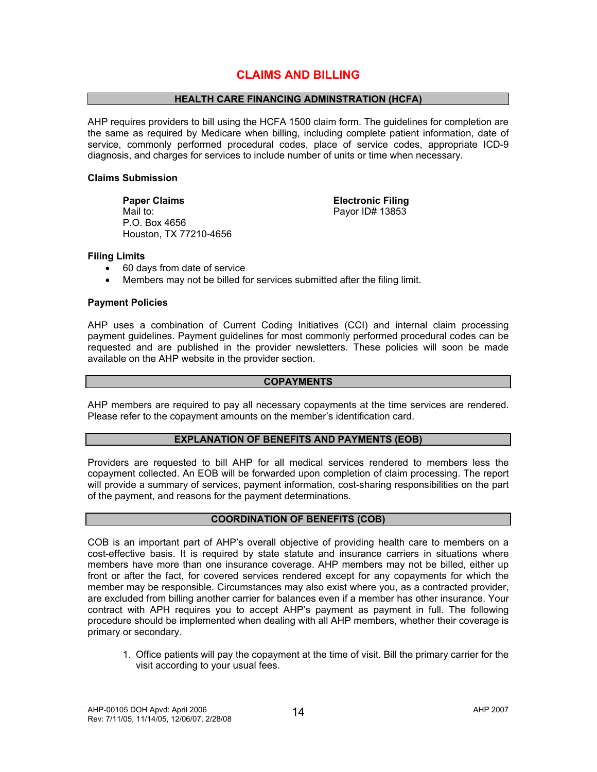# **CLAIMS AND BILLING**

# **HEALTH CARE FINANCING ADMINSTRATION (HCFA)**

AHP requires providers to bill using the HCFA 1500 claim form. The guidelines for completion are the same as required by Medicare when billing, including complete patient information, date of service, commonly performed procedural codes, place of service codes, appropriate ICD-9 diagnosis, and charges for services to include number of units or time when necessary.

#### **Claims Submission**

**Paper Claims Community Claims** Electronic Filing Mail to: Payor ID# 13853 P.O. Box 4656 Houston, TX 77210-4656

#### **Filing Limits**

- 60 days from date of service
- Members may not be billed for services submitted after the filing limit.

# **Payment Policies**

AHP uses a combination of Current Coding Initiatives (CCI) and internal claim processing payment guidelines. Payment guidelines for most commonly performed procedural codes can be requested and are published in the provider newsletters. These policies will soon be made available on the AHP website in the provider section.

#### **COPAYMENTS**

AHP members are required to pay all necessary copayments at the time services are rendered. Please refer to the copayment amounts on the member's identification card.

#### **EXPLANATION OF BENEFITS AND PAYMENTS (EOB)**

Providers are requested to bill AHP for all medical services rendered to members less the copayment collected. An EOB will be forwarded upon completion of claim processing. The report will provide a summary of services, payment information, cost-sharing responsibilities on the part of the payment, and reasons for the payment determinations.

#### **COORDINATION OF BENEFITS (COB)**

COB is an important part of AHP's overall objective of providing health care to members on a cost-effective basis. It is required by state statute and insurance carriers in situations where members have more than one insurance coverage. AHP members may not be billed, either up front or after the fact, for covered services rendered except for any copayments for which the member may be responsible. Circumstances may also exist where you, as a contracted provider, are excluded from billing another carrier for balances even if a member has other insurance. Your contract with APH requires you to accept AHP's payment as payment in full. The following procedure should be implemented when dealing with all AHP members, whether their coverage is primary or secondary.

1. Office patients will pay the copayment at the time of visit. Bill the primary carrier for the visit according to your usual fees.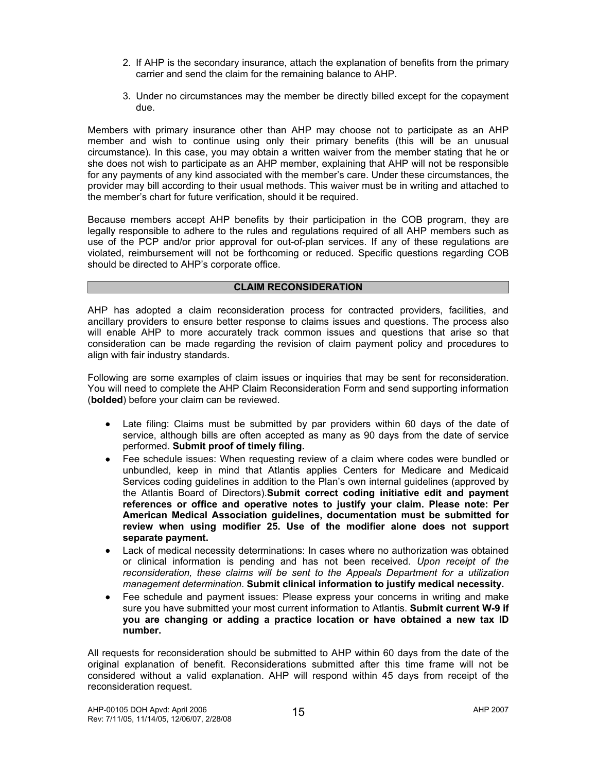- 2. If AHP is the secondary insurance, attach the explanation of benefits from the primary carrier and send the claim for the remaining balance to AHP.
- 3. Under no circumstances may the member be directly billed except for the copayment due.

Members with primary insurance other than AHP may choose not to participate as an AHP member and wish to continue using only their primary benefits (this will be an unusual circumstance). In this case, you may obtain a written waiver from the member stating that he or she does not wish to participate as an AHP member, explaining that AHP will not be responsible for any payments of any kind associated with the member's care. Under these circumstances, the provider may bill according to their usual methods. This waiver must be in writing and attached to the member's chart for future verification, should it be required.

Because members accept AHP benefits by their participation in the COB program, they are legally responsible to adhere to the rules and regulations required of all AHP members such as use of the PCP and/or prior approval for out-of-plan services. If any of these regulations are violated, reimbursement will not be forthcoming or reduced. Specific questions regarding COB should be directed to AHP's corporate office.

#### **CLAIM RECONSIDERATION**

AHP has adopted a claim reconsideration process for contracted providers, facilities, and ancillary providers to ensure better response to claims issues and questions. The process also will enable AHP to more accurately track common issues and questions that arise so that consideration can be made regarding the revision of claim payment policy and procedures to align with fair industry standards.

Following are some examples of claim issues or inquiries that may be sent for reconsideration. You will need to complete the AHP Claim Reconsideration Form and send supporting information (**bolded**) before your claim can be reviewed.

- Late filing: Claims must be submitted by par providers within 60 days of the date of service, although bills are often accepted as many as 90 days from the date of service performed. **Submit proof of timely filing.**
- Fee schedule issues: When requesting review of a claim where codes were bundled or unbundled, keep in mind that Atlantis applies Centers for Medicare and Medicaid Services coding guidelines in addition to the Plan's own internal guidelines (approved by the Atlantis Board of Directors).**Submit correct coding initiative edit and payment references or office and operative notes to justify your claim. Please note: Per American Medical Association guidelines, documentation must be submitted for review when using modifier 25. Use of the modifier alone does not support separate payment.**
- Lack of medical necessity determinations: In cases where no authorization was obtained or clinical information is pending and has not been received. *Upon receipt of the reconsideration, these claims will be sent to the Appeals Department for a utilization management determination*. **Submit clinical information to justify medical necessity.**
- Fee schedule and payment issues: Please express your concerns in writing and make sure you have submitted your most current information to Atlantis. **Submit current W-9 if you are changing or adding a practice location or have obtained a new tax ID number.**

All requests for reconsideration should be submitted to AHP within 60 days from the date of the original explanation of benefit. Reconsiderations submitted after this time frame will not be considered without a valid explanation. AHP will respond within 45 days from receipt of the reconsideration request.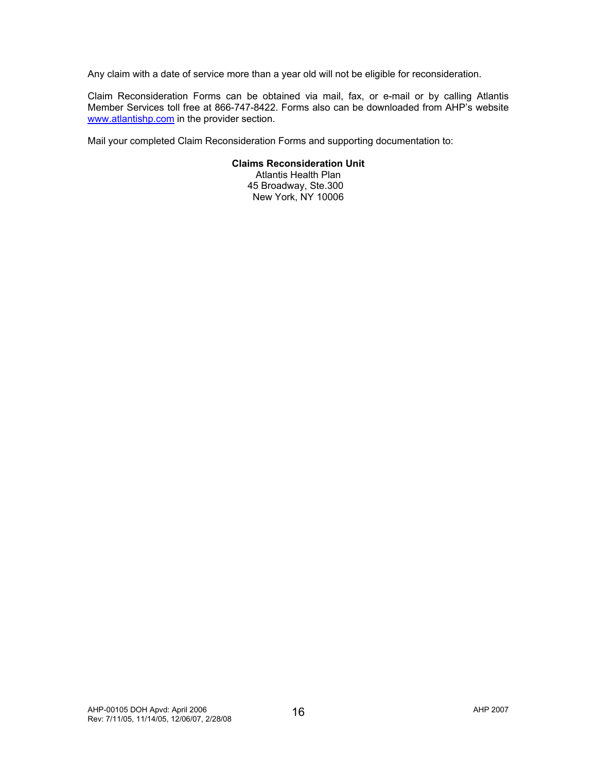Any claim with a date of service more than a year old will not be eligible for reconsideration.

Claim Reconsideration Forms can be obtained via mail, fax, or e-mail or by calling Atlantis Member Services toll free at 866-747-8422. Forms also can be downloaded from AHP's website www.atlantishp.com in the provider section.

Mail your completed Claim Reconsideration Forms and supporting documentation to:

# **Claims Reconsideration Unit**

Atlantis Health Plan 45 Broadway, Ste.300 New York, NY 10006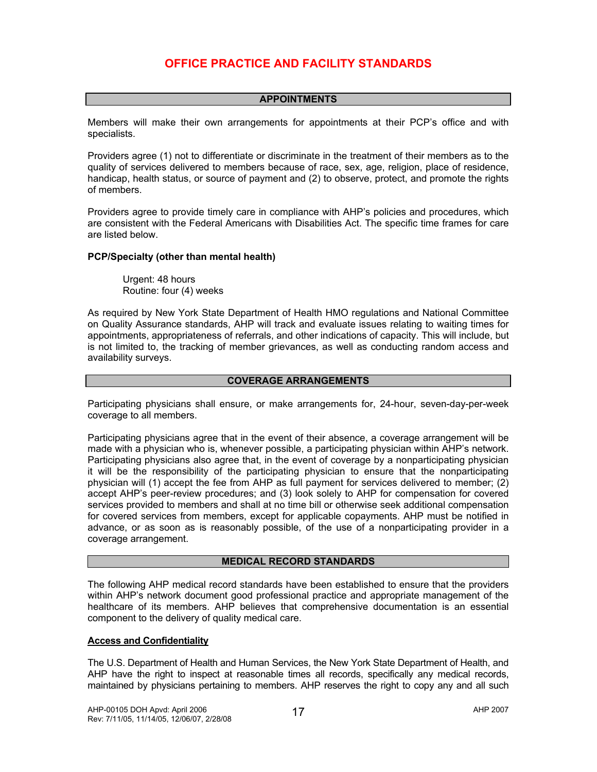# **OFFICE PRACTICE AND FACILITY STANDARDS**

#### **APPOINTMENTS**

Members will make their own arrangements for appointments at their PCP's office and with specialists.

Providers agree (1) not to differentiate or discriminate in the treatment of their members as to the quality of services delivered to members because of race, sex, age, religion, place of residence, handicap, health status, or source of payment and (2) to observe, protect, and promote the rights of members.

Providers agree to provide timely care in compliance with AHP's policies and procedures, which are consistent with the Federal Americans with Disabilities Act. The specific time frames for care are listed below.

#### **PCP/Specialty (other than mental health)**

Urgent: 48 hours Routine: four (4) weeks

As required by New York State Department of Health HMO regulations and National Committee on Quality Assurance standards, AHP will track and evaluate issues relating to waiting times for appointments, appropriateness of referrals, and other indications of capacity. This will include, but is not limited to, the tracking of member grievances, as well as conducting random access and availability surveys.

# **COVERAGE ARRANGEMENTS**

Participating physicians shall ensure, or make arrangements for, 24-hour, seven-day-per-week coverage to all members.

Participating physicians agree that in the event of their absence, a coverage arrangement will be made with a physician who is, whenever possible, a participating physician within AHP's network. Participating physicians also agree that, in the event of coverage by a nonparticipating physician it will be the responsibility of the participating physician to ensure that the nonparticipating physician will (1) accept the fee from AHP as full payment for services delivered to member; (2) accept AHP's peer-review procedures; and (3) look solely to AHP for compensation for covered services provided to members and shall at no time bill or otherwise seek additional compensation for covered services from members, except for applicable copayments. AHP must be notified in advance, or as soon as is reasonably possible, of the use of a nonparticipating provider in a coverage arrangement.

#### **MEDICAL RECORD STANDARDS**

The following AHP medical record standards have been established to ensure that the providers within AHP's network document good professional practice and appropriate management of the healthcare of its members. AHP believes that comprehensive documentation is an essential component to the delivery of quality medical care.

#### **Access and Confidentiality**

The U.S. Department of Health and Human Services, the New York State Department of Health, and AHP have the right to inspect at reasonable times all records, specifically any medical records, maintained by physicians pertaining to members. AHP reserves the right to copy any and all such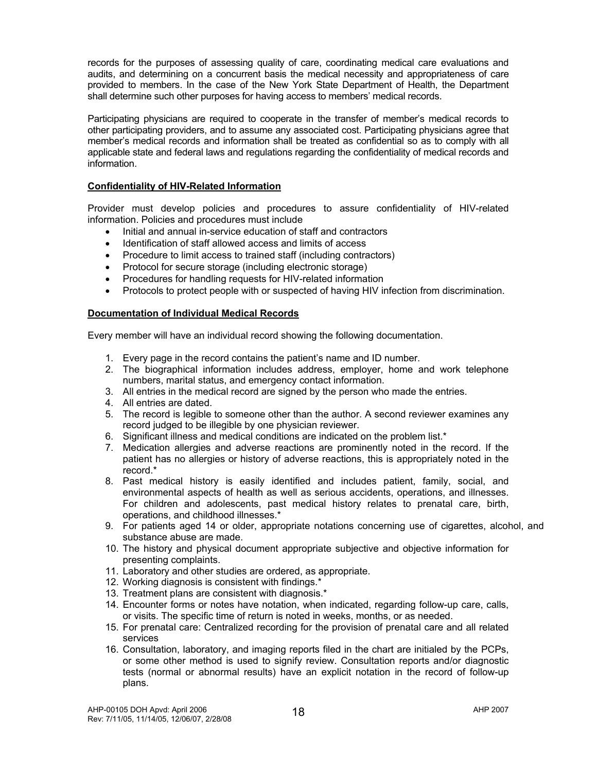records for the purposes of assessing quality of care, coordinating medical care evaluations and audits, and determining on a concurrent basis the medical necessity and appropriateness of care provided to members. In the case of the New York State Department of Health, the Department shall determine such other purposes for having access to members' medical records.

Participating physicians are required to cooperate in the transfer of member's medical records to other participating providers, and to assume any associated cost. Participating physicians agree that member's medical records and information shall be treated as confidential so as to comply with all applicable state and federal laws and regulations regarding the confidentiality of medical records and information.

# **Confidentiality of HIV-Related Information**

Provider must develop policies and procedures to assure confidentiality of HIV-related information. Policies and procedures must include

- Initial and annual in-service education of staff and contractors
- Identification of staff allowed access and limits of access
- Procedure to limit access to trained staff (including contractors)
- Protocol for secure storage (including electronic storage)
- Procedures for handling requests for HIV-related information
- Protocols to protect people with or suspected of having HIV infection from discrimination.

# **Documentation of Individual Medical Records**

Every member will have an individual record showing the following documentation.

- 1. Every page in the record contains the patient's name and ID number.
- 2. The biographical information includes address, employer, home and work telephone numbers, marital status, and emergency contact information.
- 3. All entries in the medical record are signed by the person who made the entries.
- 4. All entries are dated.
- 5. The record is legible to someone other than the author. A second reviewer examines any record judged to be illegible by one physician reviewer.
- 6. Significant illness and medical conditions are indicated on the problem list.\*
- 7. Medication allergies and adverse reactions are prominently noted in the record. If the patient has no allergies or history of adverse reactions, this is appropriately noted in the record.\*
- 8. Past medical history is easily identified and includes patient, family, social, and environmental aspects of health as well as serious accidents, operations, and illnesses. For children and adolescents, past medical history relates to prenatal care, birth, operations, and childhood illnesses.\*
- 9. For patients aged 14 or older, appropriate notations concerning use of cigarettes, alcohol, and substance abuse are made.
- 10. The history and physical document appropriate subjective and objective information for presenting complaints.
- 11. Laboratory and other studies are ordered, as appropriate.
- 12. Working diagnosis is consistent with findings.\*
- 13. Treatment plans are consistent with diagnosis.\*
- 14. Encounter forms or notes have notation, when indicated, regarding follow-up care, calls, or visits. The specific time of return is noted in weeks, months, or as needed.
- 15. For prenatal care: Centralized recording for the provision of prenatal care and all related services
- 16. Consultation, laboratory, and imaging reports filed in the chart are initialed by the PCPs, or some other method is used to signify review. Consultation reports and/or diagnostic tests (normal or abnormal results) have an explicit notation in the record of follow-up plans.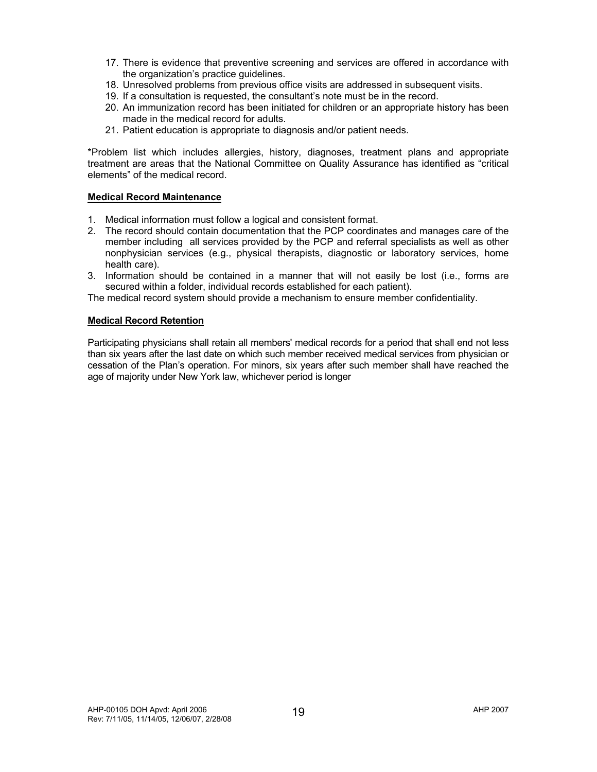- 17. There is evidence that preventive screening and services are offered in accordance with the organization's practice guidelines.
- 18. Unresolved problems from previous office visits are addressed in subsequent visits.
- 19. If a consultation is requested, the consultant's note must be in the record.
- 20. An immunization record has been initiated for children or an appropriate history has been made in the medical record for adults.
- 21. Patient education is appropriate to diagnosis and/or patient needs.

\*Problem list which includes allergies, history, diagnoses, treatment plans and appropriate treatment are areas that the National Committee on Quality Assurance has identified as "critical elements" of the medical record.

#### **Medical Record Maintenance**

- 1. Medical information must follow a logical and consistent format.
- 2. The record should contain documentation that the PCP coordinates and manages care of the member including all services provided by the PCP and referral specialists as well as other nonphysician services (e.g., physical therapists, diagnostic or laboratory services, home health care).
- 3. Information should be contained in a manner that will not easily be lost (i.e., forms are secured within a folder, individual records established for each patient).

The medical record system should provide a mechanism to ensure member confidentiality.

#### **Medical Record Retention**

Participating physicians shall retain all members' medical records for a period that shall end not less than six years after the last date on which such member received medical services from physician or cessation of the Plan's operation. For minors, six years after such member shall have reached the age of majority under New York law, whichever period is longer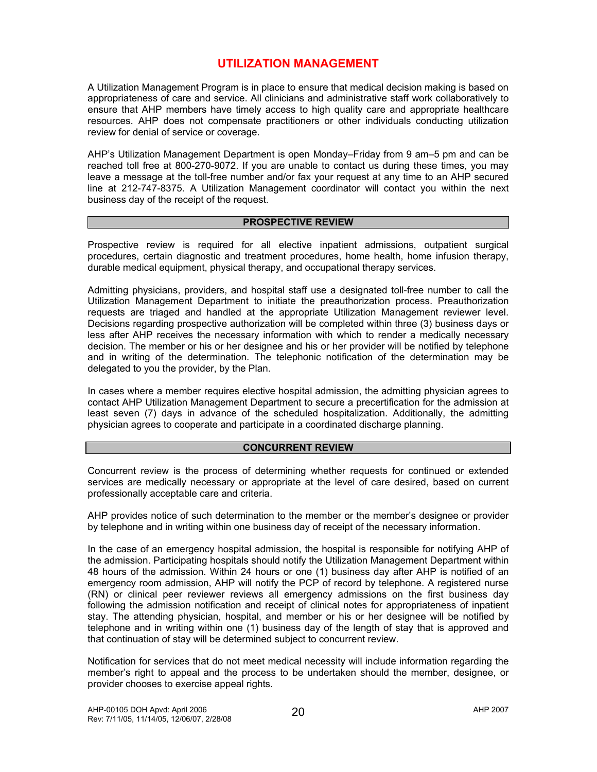# **UTILIZATION MANAGEMENT**

A Utilization Management Program is in place to ensure that medical decision making is based on appropriateness of care and service. All clinicians and administrative staff work collaboratively to ensure that AHP members have timely access to high quality care and appropriate healthcare resources. AHP does not compensate practitioners or other individuals conducting utilization review for denial of service or coverage.

AHP's Utilization Management Department is open Monday–Friday from 9 am–5 pm and can be reached toll free at 800-270-9072. If you are unable to contact us during these times, you may leave a message at the toll-free number and/or fax your request at any time to an AHP secured line at 212-747-8375. A Utilization Management coordinator will contact you within the next business day of the receipt of the request.

#### **PROSPECTIVE REVIEW**

Prospective review is required for all elective inpatient admissions, outpatient surgical procedures, certain diagnostic and treatment procedures, home health, home infusion therapy, durable medical equipment, physical therapy, and occupational therapy services.

Admitting physicians, providers, and hospital staff use a designated toll-free number to call the Utilization Management Department to initiate the preauthorization process. Preauthorization requests are triaged and handled at the appropriate Utilization Management reviewer level. Decisions regarding prospective authorization will be completed within three (3) business days or less after AHP receives the necessary information with which to render a medically necessary decision. The member or his or her designee and his or her provider will be notified by telephone and in writing of the determination. The telephonic notification of the determination may be delegated to you the provider, by the Plan.

In cases where a member requires elective hospital admission, the admitting physician agrees to contact AHP Utilization Management Department to secure a precertification for the admission at least seven (7) days in advance of the scheduled hospitalization. Additionally, the admitting physician agrees to cooperate and participate in a coordinated discharge planning.

#### **CONCURRENT REVIEW**

Concurrent review is the process of determining whether requests for continued or extended services are medically necessary or appropriate at the level of care desired, based on current professionally acceptable care and criteria.

AHP provides notice of such determination to the member or the member's designee or provider by telephone and in writing within one business day of receipt of the necessary information.

In the case of an emergency hospital admission, the hospital is responsible for notifying AHP of the admission. Participating hospitals should notify the Utilization Management Department within 48 hours of the admission. Within 24 hours or one (1) business day after AHP is notified of an emergency room admission, AHP will notify the PCP of record by telephone. A registered nurse (RN) or clinical peer reviewer reviews all emergency admissions on the first business day following the admission notification and receipt of clinical notes for appropriateness of inpatient stay. The attending physician, hospital, and member or his or her designee will be notified by telephone and in writing within one (1) business day of the length of stay that is approved and that continuation of stay will be determined subject to concurrent review.

Notification for services that do not meet medical necessity will include information regarding the member's right to appeal and the process to be undertaken should the member, designee, or provider chooses to exercise appeal rights.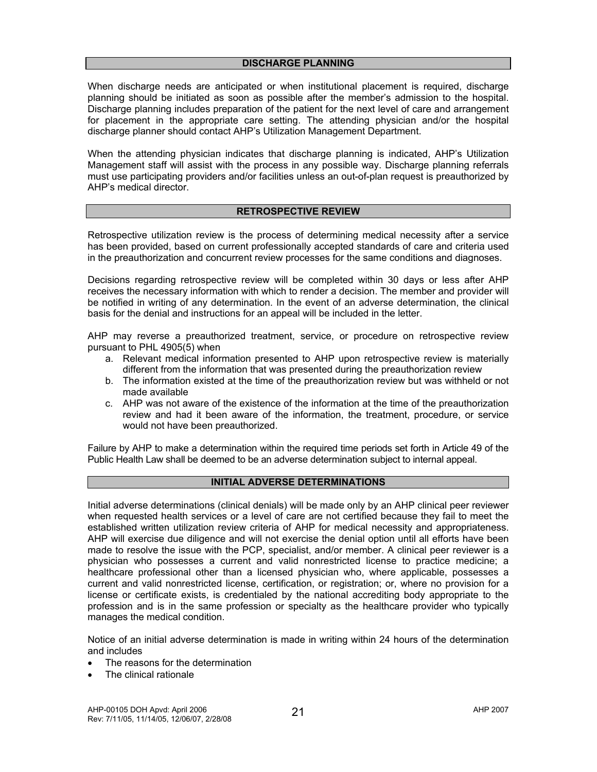When discharge needs are anticipated or when institutional placement is required, discharge planning should be initiated as soon as possible after the member's admission to the hospital. Discharge planning includes preparation of the patient for the next level of care and arrangement for placement in the appropriate care setting. The attending physician and/or the hospital discharge planner should contact AHP's Utilization Management Department.

When the attending physician indicates that discharge planning is indicated, AHP's Utilization Management staff will assist with the process in any possible way. Discharge planning referrals must use participating providers and/or facilities unless an out-of-plan request is preauthorized by AHP's medical director.

#### **RETROSPECTIVE REVIEW**

Retrospective utilization review is the process of determining medical necessity after a service has been provided, based on current professionally accepted standards of care and criteria used in the preauthorization and concurrent review processes for the same conditions and diagnoses.

Decisions regarding retrospective review will be completed within 30 days or less after AHP receives the necessary information with which to render a decision. The member and provider will be notified in writing of any determination. In the event of an adverse determination, the clinical basis for the denial and instructions for an appeal will be included in the letter.

AHP may reverse a preauthorized treatment, service, or procedure on retrospective review pursuant to PHL 4905(5) when

- a. Relevant medical information presented to AHP upon retrospective review is materially different from the information that was presented during the preauthorization review
- b. The information existed at the time of the preauthorization review but was withheld or not made available
- c. AHP was not aware of the existence of the information at the time of the preauthorization review and had it been aware of the information, the treatment, procedure, or service would not have been preauthorized.

Failure by AHP to make a determination within the required time periods set forth in Article 49 of the Public Health Law shall be deemed to be an adverse determination subject to internal appeal.

# **INITIAL ADVERSE DETERMINATIONS**

Initial adverse determinations (clinical denials) will be made only by an AHP clinical peer reviewer when requested health services or a level of care are not certified because they fail to meet the established written utilization review criteria of AHP for medical necessity and appropriateness. AHP will exercise due diligence and will not exercise the denial option until all efforts have been made to resolve the issue with the PCP, specialist, and/or member. A clinical peer reviewer is a physician who possesses a current and valid nonrestricted license to practice medicine; a healthcare professional other than a licensed physician who, where applicable, possesses a current and valid nonrestricted license, certification, or registration; or, where no provision for a license or certificate exists, is credentialed by the national accrediting body appropriate to the profession and is in the same profession or specialty as the healthcare provider who typically manages the medical condition.

Notice of an initial adverse determination is made in writing within 24 hours of the determination and includes

- The reasons for the determination
- The clinical rationale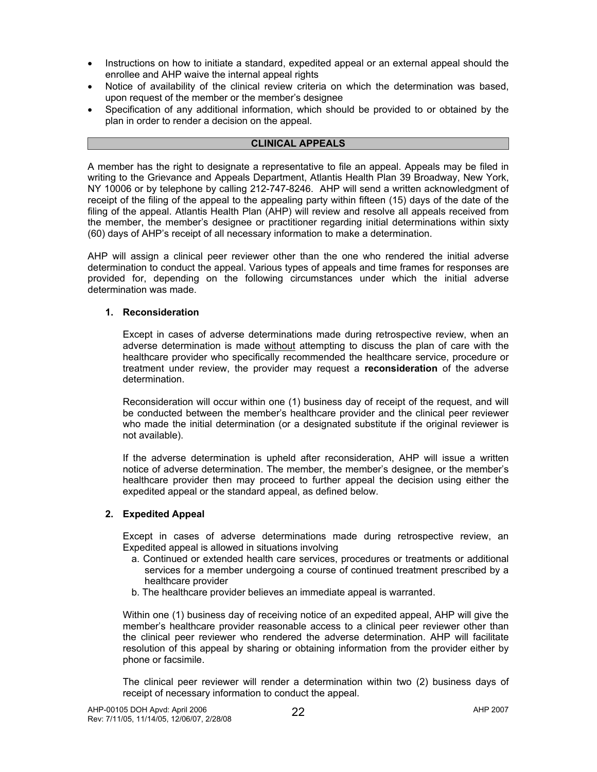- Instructions on how to initiate a standard, expedited appeal or an external appeal should the enrollee and AHP waive the internal appeal rights
- Notice of availability of the clinical review criteria on which the determination was based, upon request of the member or the member's designee
- Specification of any additional information, which should be provided to or obtained by the plan in order to render a decision on the appeal.

# **CLINICAL APPEALS**

A member has the right to designate a representative to file an appeal. Appeals may be filed in writing to the Grievance and Appeals Department, Atlantis Health Plan 39 Broadway, New York, NY 10006 or by telephone by calling 212-747-8246. AHP will send a written acknowledgment of receipt of the filing of the appeal to the appealing party within fifteen (15) days of the date of the filing of the appeal. Atlantis Health Plan (AHP) will review and resolve all appeals received from the member, the member's designee or practitioner regarding initial determinations within sixty (60) days of AHP's receipt of all necessary information to make a determination.

AHP will assign a clinical peer reviewer other than the one who rendered the initial adverse determination to conduct the appeal. Various types of appeals and time frames for responses are provided for, depending on the following circumstances under which the initial adverse determination was made.

# **1. Reconsideration**

Except in cases of adverse determinations made during retrospective review, when an adverse determination is made without attempting to discuss the plan of care with the healthcare provider who specifically recommended the healthcare service, procedure or treatment under review, the provider may request a **reconsideration** of the adverse determination.

Reconsideration will occur within one (1) business day of receipt of the request, and will be conducted between the member's healthcare provider and the clinical peer reviewer who made the initial determination (or a designated substitute if the original reviewer is not available).

If the adverse determination is upheld after reconsideration, AHP will issue a written notice of adverse determination. The member, the member's designee, or the member's healthcare provider then may proceed to further appeal the decision using either the expedited appeal or the standard appeal, as defined below.

# **2. Expedited Appeal**

Except in cases of adverse determinations made during retrospective review, an Expedited appeal is allowed in situations involving

- a. Continued or extended health care services, procedures or treatments or additional services for a member undergoing a course of continued treatment prescribed by a healthcare provider
- b. The healthcare provider believes an immediate appeal is warranted.

Within one (1) business day of receiving notice of an expedited appeal, AHP will give the member's healthcare provider reasonable access to a clinical peer reviewer other than the clinical peer reviewer who rendered the adverse determination. AHP will facilitate resolution of this appeal by sharing or obtaining information from the provider either by phone or facsimile.

The clinical peer reviewer will render a determination within two (2) business days of receipt of necessary information to conduct the appeal.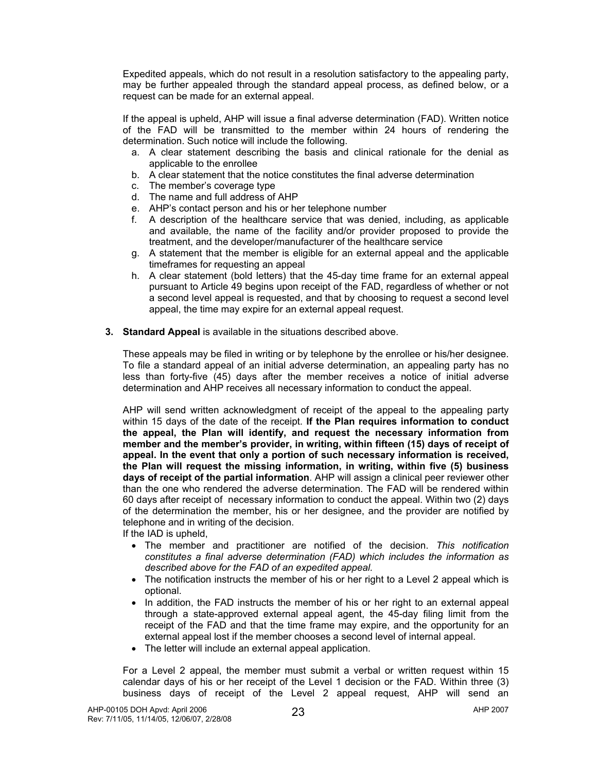Expedited appeals, which do not result in a resolution satisfactory to the appealing party, may be further appealed through the standard appeal process, as defined below, or a request can be made for an external appeal.

If the appeal is upheld, AHP will issue a final adverse determination (FAD). Written notice of the FAD will be transmitted to the member within 24 hours of rendering the determination. Such notice will include the following.

- a. A clear statement describing the basis and clinical rationale for the denial as applicable to the enrollee
- b. A clear statement that the notice constitutes the final adverse determination
- c. The member's coverage type
- d. The name and full address of AHP
- e. AHP's contact person and his or her telephone number
- f. A description of the healthcare service that was denied, including, as applicable and available, the name of the facility and/or provider proposed to provide the treatment, and the developer/manufacturer of the healthcare service
- g. A statement that the member is eligible for an external appeal and the applicable timeframes for requesting an appeal
- h. A clear statement (bold letters) that the 45-day time frame for an external appeal pursuant to Article 49 begins upon receipt of the FAD, regardless of whether or not a second level appeal is requested, and that by choosing to request a second level appeal, the time may expire for an external appeal request.
- **3. Standard Appeal** is available in the situations described above.

These appeals may be filed in writing or by telephone by the enrollee or his/her designee. To file a standard appeal of an initial adverse determination, an appealing party has no less than forty-five (45) days after the member receives a notice of initial adverse determination and AHP receives all necessary information to conduct the appeal.

AHP will send written acknowledgment of receipt of the appeal to the appealing party within 15 days of the date of the receipt. **If the Plan requires information to conduct the appeal, the Plan will identify, and request the necessary information from member and the member's provider, in writing, within fifteen (15) days of receipt of appeal. In the event that only a portion of such necessary information is received, the Plan will request the missing information, in writing, within five (5) business days of receipt of the partial information**. AHP will assign a clinical peer reviewer other than the one who rendered the adverse determination. The FAD will be rendered within 60 days after receipt of necessary information to conduct the appeal. Within two (2) days of the determination the member, his or her designee, and the provider are notified by telephone and in writing of the decision.

If the IAD is upheld,

- The member and practitioner are notified of the decision. *This notification constitutes a final adverse determination (FAD) which includes the information as described above for the FAD of an expedited appeal.*
- The notification instructs the member of his or her right to a Level 2 appeal which is optional.
- In addition, the FAD instructs the member of his or her right to an external appeal through a state-approved external appeal agent, the 45-day filing limit from the receipt of the FAD and that the time frame may expire, and the opportunity for an external appeal lost if the member chooses a second level of internal appeal.
- The letter will include an external appeal application.

For a Level 2 appeal, the member must submit a verbal or written request within 15 calendar days of his or her receipt of the Level 1 decision or the FAD. Within three (3) business days of receipt of the Level 2 appeal request, AHP will send an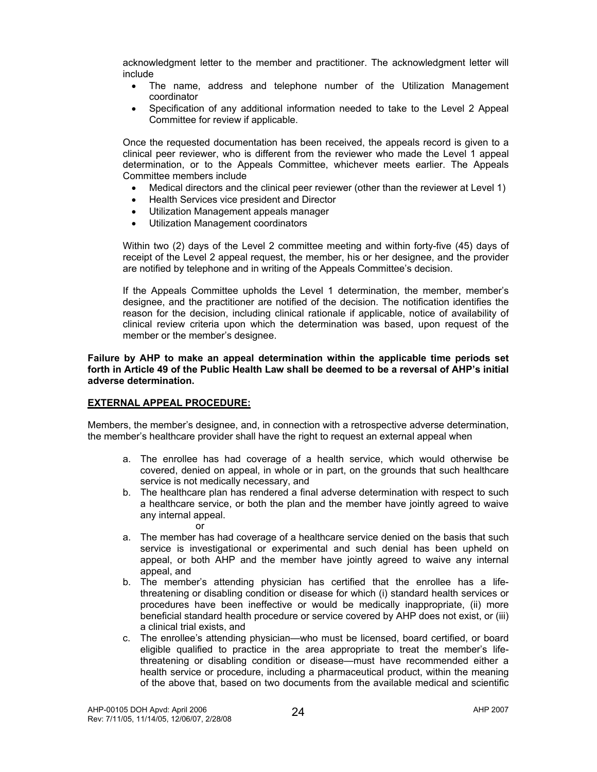acknowledgment letter to the member and practitioner. The acknowledgment letter will include

- The name, address and telephone number of the Utilization Management coordinator
- Specification of any additional information needed to take to the Level 2 Appeal Committee for review if applicable.

Once the requested documentation has been received, the appeals record is given to a clinical peer reviewer, who is different from the reviewer who made the Level 1 appeal determination, or to the Appeals Committee, whichever meets earlier. The Appeals Committee members include

- Medical directors and the clinical peer reviewer (other than the reviewer at Level 1)
- Health Services vice president and Director
- Utilization Management appeals manager
- Utilization Management coordinators

Within two (2) days of the Level 2 committee meeting and within forty-five (45) days of receipt of the Level 2 appeal request, the member, his or her designee, and the provider are notified by telephone and in writing of the Appeals Committee's decision.

If the Appeals Committee upholds the Level 1 determination, the member, member's designee, and the practitioner are notified of the decision. The notification identifies the reason for the decision, including clinical rationale if applicable, notice of availability of clinical review criteria upon which the determination was based, upon request of the member or the member's designee.

**Failure by AHP to make an appeal determination within the applicable time periods set forth in Article 49 of the Public Health Law shall be deemed to be a reversal of AHP's initial adverse determination.** 

#### **EXTERNAL APPEAL PROCEDURE:**

Members, the member's designee, and, in connection with a retrospective adverse determination, the member's healthcare provider shall have the right to request an external appeal when

- a. The enrollee has had coverage of a health service, which would otherwise be covered, denied on appeal, in whole or in part, on the grounds that such healthcare service is not medically necessary, and
- b. The healthcare plan has rendered a final adverse determination with respect to such a healthcare service, or both the plan and the member have jointly agreed to waive any internal appeal.
	- or
- a. The member has had coverage of a healthcare service denied on the basis that such service is investigational or experimental and such denial has been upheld on appeal, or both AHP and the member have jointly agreed to waive any internal appeal, and
- b. The member's attending physician has certified that the enrollee has a lifethreatening or disabling condition or disease for which (i) standard health services or procedures have been ineffective or would be medically inappropriate, (ii) more beneficial standard health procedure or service covered by AHP does not exist, or (iii) a clinical trial exists, and
- c. The enrollee's attending physician—who must be licensed, board certified, or board eligible qualified to practice in the area appropriate to treat the member's lifethreatening or disabling condition or disease—must have recommended either a health service or procedure, including a pharmaceutical product, within the meaning of the above that, based on two documents from the available medical and scientific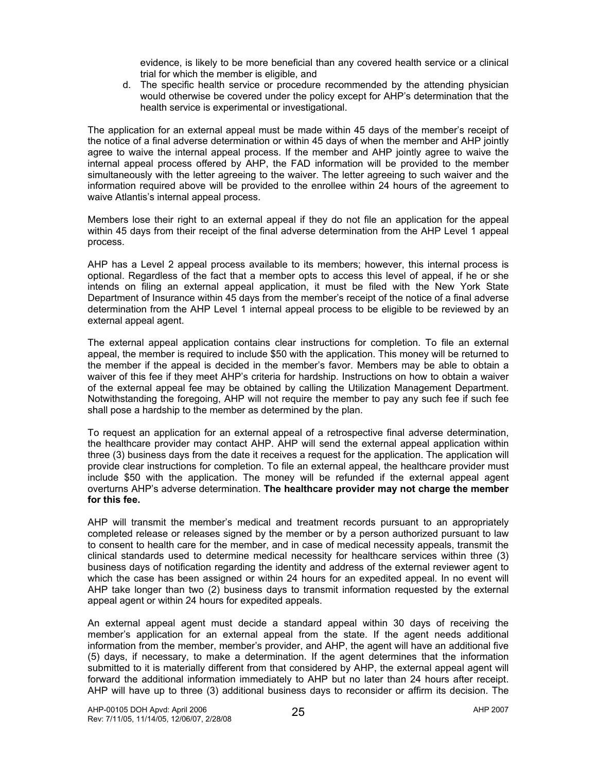evidence, is likely to be more beneficial than any covered health service or a clinical trial for which the member is eligible, and

d. The specific health service or procedure recommended by the attending physician would otherwise be covered under the policy except for AHP's determination that the health service is experimental or investigational.

The application for an external appeal must be made within 45 days of the member's receipt of the notice of a final adverse determination or within 45 days of when the member and AHP jointly agree to waive the internal appeal process. If the member and AHP jointly agree to waive the internal appeal process offered by AHP, the FAD information will be provided to the member simultaneously with the letter agreeing to the waiver. The letter agreeing to such waiver and the information required above will be provided to the enrollee within 24 hours of the agreement to waive Atlantis's internal appeal process.

Members lose their right to an external appeal if they do not file an application for the appeal within 45 days from their receipt of the final adverse determination from the AHP Level 1 appeal process.

AHP has a Level 2 appeal process available to its members; however, this internal process is optional. Regardless of the fact that a member opts to access this level of appeal, if he or she intends on filing an external appeal application, it must be filed with the New York State Department of Insurance within 45 days from the member's receipt of the notice of a final adverse determination from the AHP Level 1 internal appeal process to be eligible to be reviewed by an external appeal agent.

The external appeal application contains clear instructions for completion. To file an external appeal, the member is required to include \$50 with the application. This money will be returned to the member if the appeal is decided in the member's favor. Members may be able to obtain a waiver of this fee if they meet AHP's criteria for hardship. Instructions on how to obtain a waiver of the external appeal fee may be obtained by calling the Utilization Management Department. Notwithstanding the foregoing, AHP will not require the member to pay any such fee if such fee shall pose a hardship to the member as determined by the plan.

To request an application for an external appeal of a retrospective final adverse determination, the healthcare provider may contact AHP. AHP will send the external appeal application within three (3) business days from the date it receives a request for the application. The application will provide clear instructions for completion. To file an external appeal, the healthcare provider must include \$50 with the application. The money will be refunded if the external appeal agent overturns AHP's adverse determination. **The healthcare provider may not charge the member for this fee.** 

AHP will transmit the member's medical and treatment records pursuant to an appropriately completed release or releases signed by the member or by a person authorized pursuant to law to consent to health care for the member, and in case of medical necessity appeals, transmit the clinical standards used to determine medical necessity for healthcare services within three (3) business days of notification regarding the identity and address of the external reviewer agent to which the case has been assigned or within 24 hours for an expedited appeal. In no event will AHP take longer than two (2) business days to transmit information requested by the external appeal agent or within 24 hours for expedited appeals.

An external appeal agent must decide a standard appeal within 30 days of receiving the member's application for an external appeal from the state. If the agent needs additional information from the member, member's provider, and AHP, the agent will have an additional five (5) days, if necessary, to make a determination. If the agent determines that the information submitted to it is materially different from that considered by AHP, the external appeal agent will forward the additional information immediately to AHP but no later than 24 hours after receipt. AHP will have up to three (3) additional business days to reconsider or affirm its decision. The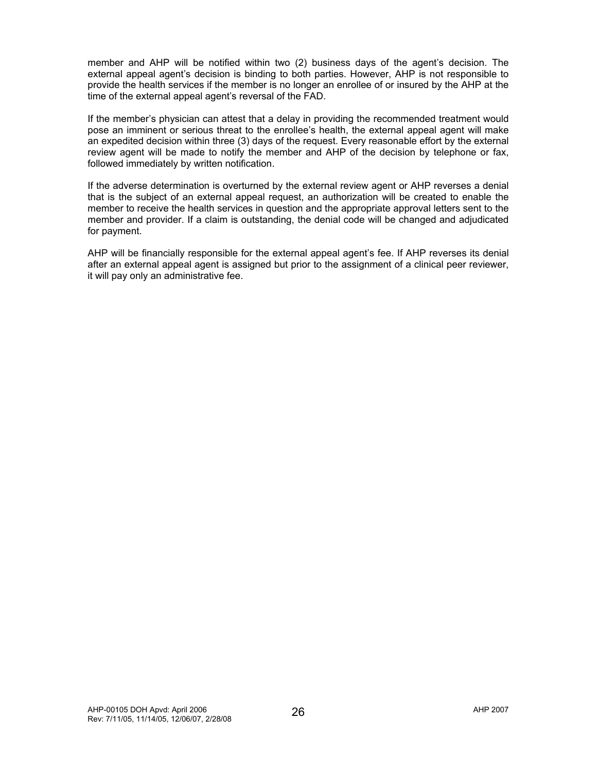member and AHP will be notified within two (2) business days of the agent's decision. The external appeal agent's decision is binding to both parties. However, AHP is not responsible to provide the health services if the member is no longer an enrollee of or insured by the AHP at the time of the external appeal agent's reversal of the FAD.

If the member's physician can attest that a delay in providing the recommended treatment would pose an imminent or serious threat to the enrollee's health, the external appeal agent will make an expedited decision within three (3) days of the request. Every reasonable effort by the external review agent will be made to notify the member and AHP of the decision by telephone or fax, followed immediately by written notification.

If the adverse determination is overturned by the external review agent or AHP reverses a denial that is the subject of an external appeal request, an authorization will be created to enable the member to receive the health services in question and the appropriate approval letters sent to the member and provider. If a claim is outstanding, the denial code will be changed and adjudicated for payment.

AHP will be financially responsible for the external appeal agent's fee. If AHP reverses its denial after an external appeal agent is assigned but prior to the assignment of a clinical peer reviewer, it will pay only an administrative fee.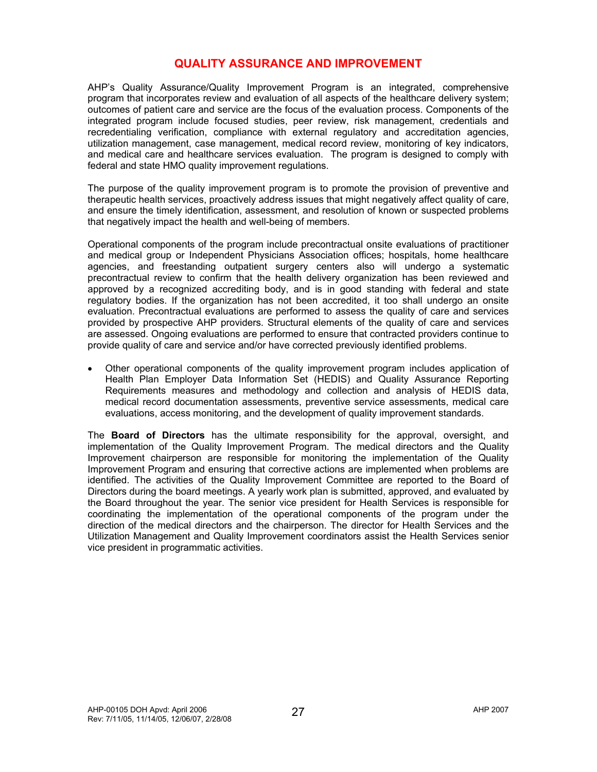# **QUALITY ASSURANCE AND IMPROVEMENT**

AHP's Quality Assurance/Quality Improvement Program is an integrated, comprehensive program that incorporates review and evaluation of all aspects of the healthcare delivery system; outcomes of patient care and service are the focus of the evaluation process. Components of the integrated program include focused studies, peer review, risk management, credentials and recredentialing verification, compliance with external regulatory and accreditation agencies, utilization management, case management, medical record review, monitoring of key indicators, and medical care and healthcare services evaluation. The program is designed to comply with federal and state HMO quality improvement regulations.

The purpose of the quality improvement program is to promote the provision of preventive and therapeutic health services, proactively address issues that might negatively affect quality of care, and ensure the timely identification, assessment, and resolution of known or suspected problems that negatively impact the health and well-being of members.

Operational components of the program include precontractual onsite evaluations of practitioner and medical group or Independent Physicians Association offices; hospitals, home healthcare agencies, and freestanding outpatient surgery centers also will undergo a systematic precontractual review to confirm that the health delivery organization has been reviewed and approved by a recognized accrediting body, and is in good standing with federal and state regulatory bodies. If the organization has not been accredited, it too shall undergo an onsite evaluation. Precontractual evaluations are performed to assess the quality of care and services provided by prospective AHP providers. Structural elements of the quality of care and services are assessed. Ongoing evaluations are performed to ensure that contracted providers continue to provide quality of care and service and/or have corrected previously identified problems.

• Other operational components of the quality improvement program includes application of Health Plan Employer Data Information Set (HEDIS) and Quality Assurance Reporting Requirements measures and methodology and collection and analysis of HEDIS data, medical record documentation assessments, preventive service assessments, medical care evaluations, access monitoring, and the development of quality improvement standards.

The **Board of Directors** has the ultimate responsibility for the approval, oversight, and implementation of the Quality Improvement Program. The medical directors and the Quality Improvement chairperson are responsible for monitoring the implementation of the Quality Improvement Program and ensuring that corrective actions are implemented when problems are identified. The activities of the Quality Improvement Committee are reported to the Board of Directors during the board meetings. A yearly work plan is submitted, approved, and evaluated by the Board throughout the year. The senior vice president for Health Services is responsible for coordinating the implementation of the operational components of the program under the direction of the medical directors and the chairperson. The director for Health Services and the Utilization Management and Quality Improvement coordinators assist the Health Services senior vice president in programmatic activities.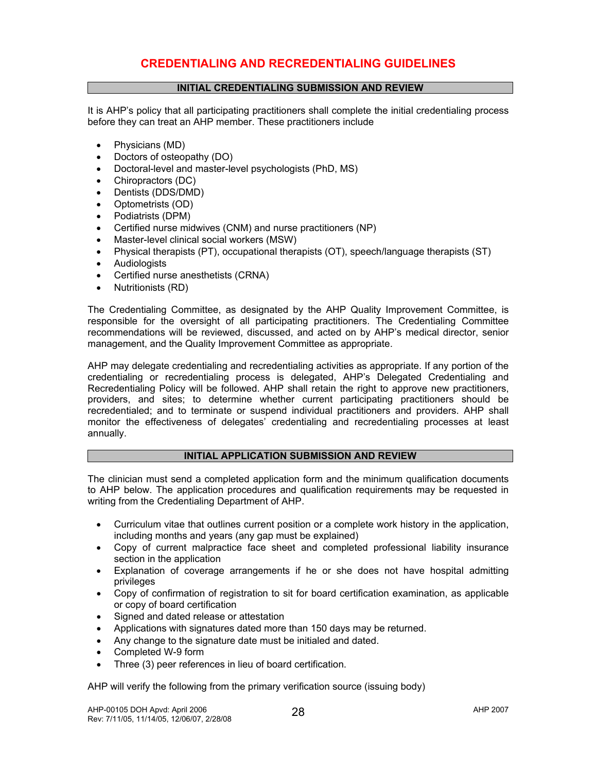# **CREDENTIALING AND RECREDENTIALING GUIDELINES**

# **INITIAL CREDENTIALING SUBMISSION AND REVIEW**

It is AHP's policy that all participating practitioners shall complete the initial credentialing process before they can treat an AHP member. These practitioners include

- Physicians (MD)
- Doctors of osteopathy (DO)
- Doctoral-level and master-level psychologists (PhD, MS)
- Chiropractors (DC)
- Dentists (DDS/DMD)
- Optometrists (OD)
- Podiatrists (DPM)
- Certified nurse midwives (CNM) and nurse practitioners (NP)
- Master-level clinical social workers (MSW)
- Physical therapists (PT), occupational therapists (OT), speech/language therapists (ST)
- **Audiologists**
- Certified nurse anesthetists (CRNA)
- Nutritionists (RD)

The Credentialing Committee, as designated by the AHP Quality Improvement Committee, is responsible for the oversight of all participating practitioners. The Credentialing Committee recommendations will be reviewed, discussed, and acted on by AHP's medical director, senior management, and the Quality Improvement Committee as appropriate.

AHP may delegate credentialing and recredentialing activities as appropriate. If any portion of the credentialing or recredentialing process is delegated, AHP's Delegated Credentialing and Recredentialing Policy will be followed. AHP shall retain the right to approve new practitioners, providers, and sites; to determine whether current participating practitioners should be recredentialed; and to terminate or suspend individual practitioners and providers. AHP shall monitor the effectiveness of delegates' credentialing and recredentialing processes at least annually.

#### **INITIAL APPLICATION SUBMISSION AND REVIEW**

The clinician must send a completed application form and the minimum qualification documents to AHP below. The application procedures and qualification requirements may be requested in writing from the Credentialing Department of AHP.

- Curriculum vitae that outlines current position or a complete work history in the application, including months and years (any gap must be explained)
- Copy of current malpractice face sheet and completed professional liability insurance section in the application
- Explanation of coverage arrangements if he or she does not have hospital admitting privileges
- Copy of confirmation of registration to sit for board certification examination, as applicable or copy of board certification
- Signed and dated release or attestation
- Applications with signatures dated more than 150 days may be returned.
- Any change to the signature date must be initialed and dated.
- Completed W-9 form
- Three (3) peer references in lieu of board certification.

AHP will verify the following from the primary verification source (issuing body)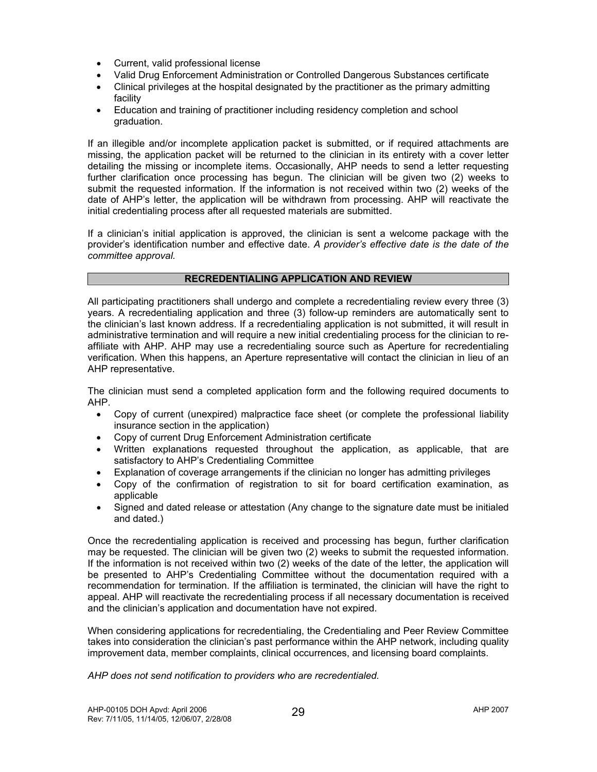- Current, valid professional license
- Valid Drug Enforcement Administration or Controlled Dangerous Substances certificate
- Clinical privileges at the hospital designated by the practitioner as the primary admitting facility
- Education and training of practitioner including residency completion and school graduation.

If an illegible and/or incomplete application packet is submitted, or if required attachments are missing, the application packet will be returned to the clinician in its entirety with a cover letter detailing the missing or incomplete items. Occasionally, AHP needs to send a letter requesting further clarification once processing has begun. The clinician will be given two (2) weeks to submit the requested information. If the information is not received within two (2) weeks of the date of AHP's letter, the application will be withdrawn from processing. AHP will reactivate the initial credentialing process after all requested materials are submitted.

If a clinician's initial application is approved, the clinician is sent a welcome package with the provider's identification number and effective date. *A provider's effective date is the date of the committee approval.* 

# **RECREDENTIALING APPLICATION AND REVIEW**

All participating practitioners shall undergo and complete a recredentialing review every three (3) years. A recredentialing application and three (3) follow-up reminders are automatically sent to the clinician's last known address. If a recredentialing application is not submitted, it will result in administrative termination and will require a new initial credentialing process for the clinician to reaffiliate with AHP. AHP may use a recredentialing source such as Aperture for recredentialing verification. When this happens, an Aperture representative will contact the clinician in lieu of an AHP representative.

The clinician must send a completed application form and the following required documents to AHP.

- Copy of current (unexpired) malpractice face sheet (or complete the professional liability insurance section in the application)
- Copy of current Drug Enforcement Administration certificate
- Written explanations requested throughout the application, as applicable, that are satisfactory to AHP's Credentialing Committee
- Explanation of coverage arrangements if the clinician no longer has admitting privileges
- Copy of the confirmation of registration to sit for board certification examination, as applicable
- Signed and dated release or attestation (Any change to the signature date must be initialed and dated.)

Once the recredentialing application is received and processing has begun, further clarification may be requested. The clinician will be given two (2) weeks to submit the requested information. If the information is not received within two (2) weeks of the date of the letter, the application will be presented to AHP's Credentialing Committee without the documentation required with a recommendation for termination. If the affiliation is terminated, the clinician will have the right to appeal. AHP will reactivate the recredentialing process if all necessary documentation is received and the clinician's application and documentation have not expired.

When considering applications for recredentialing, the Credentialing and Peer Review Committee takes into consideration the clinician's past performance within the AHP network, including quality improvement data, member complaints, clinical occurrences, and licensing board complaints.

*AHP does not send notification to providers who are recredentialed.*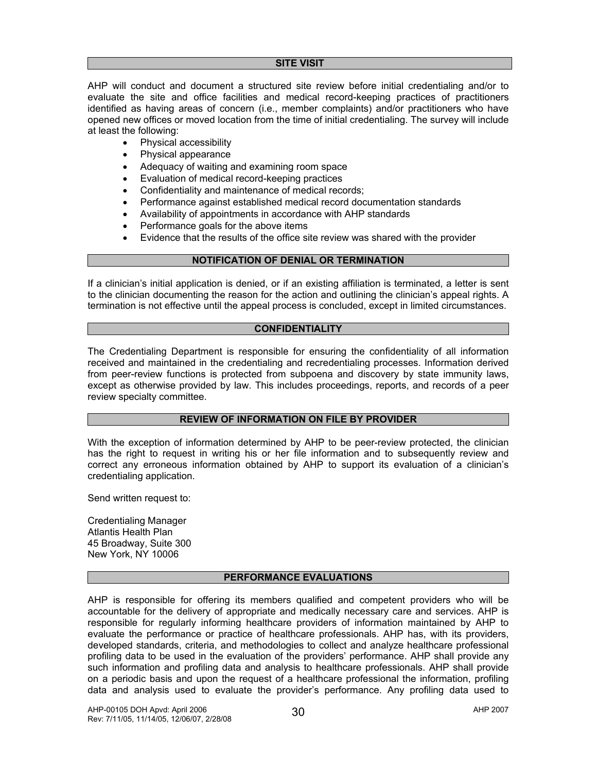#### **SITE VISIT**

AHP will conduct and document a structured site review before initial credentialing and/or to evaluate the site and office facilities and medical record-keeping practices of practitioners identified as having areas of concern (i.e., member complaints) and/or practitioners who have opened new offices or moved location from the time of initial credentialing. The survey will include at least the following:

- Physical accessibility
- Physical appearance
- Adequacy of waiting and examining room space
- Evaluation of medical record-keeping practices
- Confidentiality and maintenance of medical records;
- Performance against established medical record documentation standards
- Availability of appointments in accordance with AHP standards
- Performance goals for the above items
- Evidence that the results of the office site review was shared with the provider

# **NOTIFICATION OF DENIAL OR TERMINATION**

If a clinician's initial application is denied, or if an existing affiliation is terminated, a letter is sent to the clinician documenting the reason for the action and outlining the clinician's appeal rights. A termination is not effective until the appeal process is concluded, except in limited circumstances.

#### **CONFIDENTIALITY**

The Credentialing Department is responsible for ensuring the confidentiality of all information received and maintained in the credentialing and recredentialing processes. Information derived from peer-review functions is protected from subpoena and discovery by state immunity laws, except as otherwise provided by law. This includes proceedings, reports, and records of a peer review specialty committee.

#### **REVIEW OF INFORMATION ON FILE BY PROVIDER**

With the exception of information determined by AHP to be peer-review protected, the clinician has the right to request in writing his or her file information and to subsequently review and correct any erroneous information obtained by AHP to support its evaluation of a clinician's credentialing application.

Send written request to:

Credentialing Manager Atlantis Health Plan 45 Broadway, Suite 300 New York, NY 10006

#### **PERFORMANCE EVALUATIONS**

AHP is responsible for offering its members qualified and competent providers who will be accountable for the delivery of appropriate and medically necessary care and services. AHP is responsible for regularly informing healthcare providers of information maintained by AHP to evaluate the performance or practice of healthcare professionals. AHP has, with its providers, developed standards, criteria, and methodologies to collect and analyze healthcare professional profiling data to be used in the evaluation of the providers' performance. AHP shall provide any such information and profiling data and analysis to healthcare professionals. AHP shall provide on a periodic basis and upon the request of a healthcare professional the information, profiling data and analysis used to evaluate the provider's performance. Any profiling data used to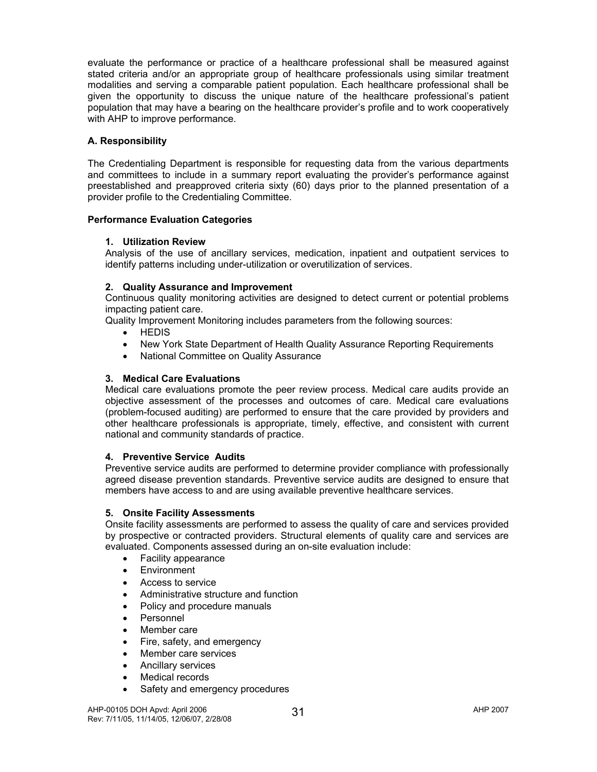evaluate the performance or practice of a healthcare professional shall be measured against stated criteria and/or an appropriate group of healthcare professionals using similar treatment modalities and serving a comparable patient population. Each healthcare professional shall be given the opportunity to discuss the unique nature of the healthcare professional's patient population that may have a bearing on the healthcare provider's profile and to work cooperatively with AHP to improve performance.

# **A. Responsibility**

The Credentialing Department is responsible for requesting data from the various departments and committees to include in a summary report evaluating the provider's performance against preestablished and preapproved criteria sixty (60) days prior to the planned presentation of a provider profile to the Credentialing Committee.

# **Performance Evaluation Categories**

# **1. Utilization Review**

Analysis of the use of ancillary services, medication, inpatient and outpatient services to identify patterns including under-utilization or overutilization of services.

# **2. Quality Assurance and Improvement**

Continuous quality monitoring activities are designed to detect current or potential problems impacting patient care.

Quality Improvement Monitoring includes parameters from the following sources:

- HEDIS
- New York State Department of Health Quality Assurance Reporting Requirements
- National Committee on Quality Assurance

# **3. Medical Care Evaluations**

Medical care evaluations promote the peer review process. Medical care audits provide an objective assessment of the processes and outcomes of care. Medical care evaluations (problem-focused auditing) are performed to ensure that the care provided by providers and other healthcare professionals is appropriate, timely, effective, and consistent with current national and community standards of practice.

# **4. Preventive Service Audits**

Preventive service audits are performed to determine provider compliance with professionally agreed disease prevention standards. Preventive service audits are designed to ensure that members have access to and are using available preventive healthcare services.

# **5. Onsite Facility Assessments**

Onsite facility assessments are performed to assess the quality of care and services provided by prospective or contracted providers. Structural elements of quality care and services are evaluated. Components assessed during an on-site evaluation include:

- Facility appearance
- **Environment**
- Access to service
- Administrative structure and function
- Policy and procedure manuals
- Personnel
- Member care
- Fire, safety, and emergency
- Member care services
- Ancillary services
- Medical records
- Safety and emergency procedures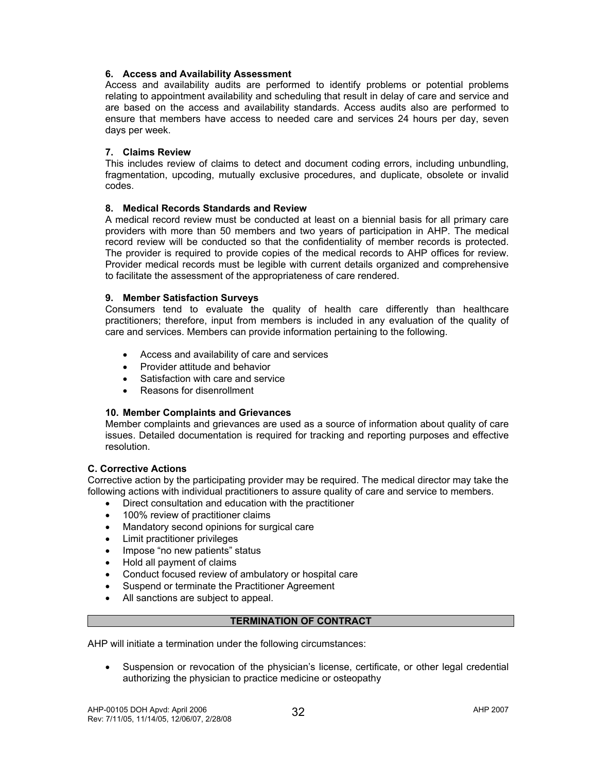# **6. Access and Availability Assessment**

Access and availability audits are performed to identify problems or potential problems relating to appointment availability and scheduling that result in delay of care and service and are based on the access and availability standards. Access audits also are performed to ensure that members have access to needed care and services 24 hours per day, seven days per week.

# **7. Claims Review**

This includes review of claims to detect and document coding errors, including unbundling, fragmentation, upcoding, mutually exclusive procedures, and duplicate, obsolete or invalid codes.

# **8. Medical Records Standards and Review**

A medical record review must be conducted at least on a biennial basis for all primary care providers with more than 50 members and two years of participation in AHP. The medical record review will be conducted so that the confidentiality of member records is protected. The provider is required to provide copies of the medical records to AHP offices for review. Provider medical records must be legible with current details organized and comprehensive to facilitate the assessment of the appropriateness of care rendered.

# **9. Member Satisfaction Surveys**

Consumers tend to evaluate the quality of health care differently than healthcare practitioners; therefore, input from members is included in any evaluation of the quality of care and services. Members can provide information pertaining to the following.

- Access and availability of care and services
- Provider attitude and behavior
- Satisfaction with care and service
- Reasons for disenrollment

# **10. Member Complaints and Grievances**

Member complaints and grievances are used as a source of information about quality of care issues. Detailed documentation is required for tracking and reporting purposes and effective resolution.

#### **C. Corrective Actions**

Corrective action by the participating provider may be required. The medical director may take the following actions with individual practitioners to assure quality of care and service to members.

- Direct consultation and education with the practitioner
- 100% review of practitioner claims
- Mandatory second opinions for surgical care
- Limit practitioner privileges
- Impose "no new patients" status
- Hold all payment of claims
- Conduct focused review of ambulatory or hospital care
- Suspend or terminate the Practitioner Agreement
- All sanctions are subject to appeal.

#### **TERMINATION OF CONTRACT**

AHP will initiate a termination under the following circumstances:

• Suspension or revocation of the physician's license, certificate, or other legal credential authorizing the physician to practice medicine or osteopathy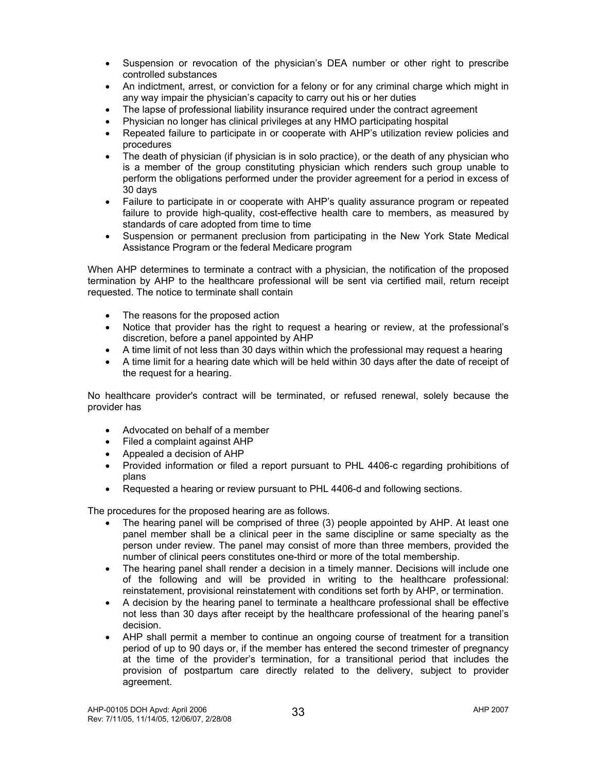- Suspension or revocation of the physician's DEA number or other right to prescribe controlled substances
- An indictment, arrest, or conviction for a felony or for any criminal charge which might in any way impair the physician's capacity to carry out his or her duties
- The lapse of professional liability insurance required under the contract agreement
- Physician no longer has clinical privileges at any HMO participating hospital
- Repeated failure to participate in or cooperate with AHP's utilization review policies and procedures
- The death of physician (if physician is in solo practice), or the death of any physician who is a member of the group constituting physician which renders such group unable to perform the obligations performed under the provider agreement for a period in excess of 30 days
- Failure to participate in or cooperate with AHP's quality assurance program or repeated failure to provide high-quality, cost-effective health care to members, as measured by standards of care adopted from time to time
- Suspension or permanent preclusion from participating in the New York State Medical Assistance Program or the federal Medicare program

When AHP determines to terminate a contract with a physician, the notification of the proposed termination by AHP to the healthcare professional will be sent via certified mail, return receipt requested. The notice to terminate shall contain

- The reasons for the proposed action
- Notice that provider has the right to request a hearing or review, at the professional's discretion, before a panel appointed by AHP
- A time limit of not less than 30 days within which the professional may request a hearing
- A time limit for a hearing date which will be held within 30 days after the date of receipt of the request for a hearing.

No healthcare provider's contract will be terminated, or refused renewal, solely because the provider has

- Advocated on behalf of a member
- Filed a complaint against AHP
- Appealed a decision of AHP
- Provided information or filed a report pursuant to PHL 4406-c regarding prohibitions of plans
- Requested a hearing or review pursuant to PHL 4406-d and following sections.

The procedures for the proposed hearing are as follows.

- The hearing panel will be comprised of three (3) people appointed by AHP. At least one panel member shall be a clinical peer in the same discipline or same specialty as the person under review. The panel may consist of more than three members, provided the number of clinical peers constitutes one-third or more of the total membership.
- The hearing panel shall render a decision in a timely manner. Decisions will include one of the following and will be provided in writing to the healthcare professional: reinstatement, provisional reinstatement with conditions set forth by AHP, or termination.
- A decision by the hearing panel to terminate a healthcare professional shall be effective not less than 30 days after receipt by the healthcare professional of the hearing panel's decision.
- AHP shall permit a member to continue an ongoing course of treatment for a transition period of up to 90 days or, if the member has entered the second trimester of pregnancy at the time of the provider's termination, for a transitional period that includes the provision of postpartum care directly related to the delivery, subject to provider agreement.